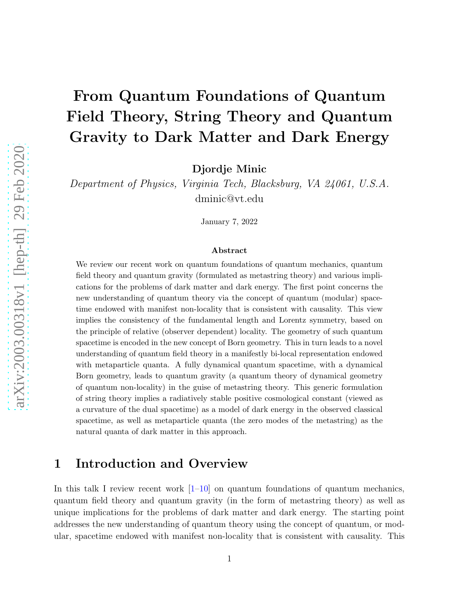# From Quantum Foundations of Quantum Field Theory, String Theory and Quantum Gravity to Dark Matter and Dark Energy

Djordje Minic

Department of Physics, Virginia Tech, Blacksburg, VA 24061, U.S.A. dminic@vt.edu

January 7, 2022

#### Abstract

We review our recent work on quantum foundations of quantum mechanics, quantum field theory and quantum gravity (formulated as metastring theory) and various implications for the problems of dark matter and dark energy. The first point concerns the new understanding of quantum theory via the concept of quantum (modular) spacetime endowed with manifest non-locality that is consistent with causality. This view implies the consistency of the fundamental length and Lorentz symmetry, based on the principle of relative (observer dependent) locality. The geometry of such quantum spacetime is encoded in the new concept of Born geometry. This in turn leads to a novel understanding of quantum field theory in a manifestly bi-local representation endowed with metaparticle quanta. A fully dynamical quantum spacetime, with a dynamical Born geometry, leads to quantum gravity (a quantum theory of dynamical geometry of quantum non-locality) in the guise of metastring theory. This generic formulation of string theory implies a radiatively stable positive cosmological constant (viewed as a curvature of the dual spacetime) as a model of dark energy in the observed classical spacetime, as well as metaparticle quanta (the zero modes of the metastring) as the natural quanta of dark matter in this approach.

## 1 Introduction and Overview

In this talk I review recent work  $\left[1-10\right]$  on quantum foundations of quantum mechanics, quantum field theory and quantum gravity (in the form of metastring theory) as well as unique implications for the problems of dark matter and dark energy. The starting point addresses the new understanding of quantum theory using the concept of quantum, or modular, spacetime endowed with manifest non-locality that is consistent with causality. This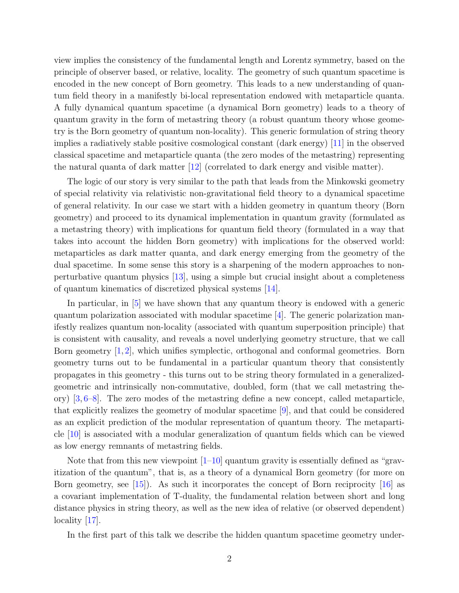view implies the consistency of the fundamental length and Lorentz symmetry, based on the principle of observer based, or relative, locality. The geometry of such quantum spacetime is encoded in the new concept of Born geometry. This leads to a new understanding of quantum field theory in a manifestly bi-local representation endowed with metaparticle quanta. A fully dynamical quantum spacetime (a dynamical Born geometry) leads to a theory of quantum gravity in the form of metastring theory (a robust quantum theory whose geometry is the Born geometry of quantum non-locality). This generic formulation of string theory implies a radiatively stable positive cosmological constant (dark energy) [\[11\]](#page-29-1) in the observed classical spacetime and metaparticle quanta (the zero modes of the metastring) representing the natural quanta of dark matter  $|12|$  (correlated to dark energy and visible matter).

The logic of our story is very similar to the path that leads from the Minkowski geometry of special relativity via relativistic non-gravitational field theory to a dynamical spacetime of general relativity. In our case we start with a hidden geometry in quantum theory (Born geometry) and proceed to its dynamical implementation in quantum gravity (formulated as a metastring theory) with implications for quantum field theory (formulated in a way that takes into account the hidden Born geometry) with implications for the observed world: metaparticles as dark matter quanta, and dark energy emerging from the geometry of the dual spacetime. In some sense this story is a sharpening of the modern approaches to nonperturbative quantum physics [\[13\]](#page-29-3), using a simple but crucial insight about a completeness of quantum kinematics of discretized physical systems [\[14\]](#page-29-4).

In particular, in [\[5\]](#page-29-5) we have shown that any quantum theory is endowed with a generic quantum polarization associated with modular spacetime [\[4\]](#page-29-6). The generic polarization manifestly realizes quantum non-locality (associated with quantum superposition principle) that is consistent with causality, and reveals a novel underlying geometry structure, that we call Born geometry [\[1,](#page-28-0) [2\]](#page-28-1), which unifies symplectic, orthogonal and conformal geometries. Born geometry turns out to be fundamental in a particular quantum theory that consistently propagates in this geometry - this turns out to be string theory formulated in a generalizedgeometric and intrinsically non-commutative, doubled, form (that we call metastring theory) [\[3,](#page-29-7) [6](#page-29-8)[–8\]](#page-29-9). The zero modes of the metastring define a new concept, called metaparticle, that explicitly realizes the geometry of modular spacetime [\[9\]](#page-29-10), and that could be considered as an explicit prediction of the modular representation of quantum theory. The metaparticle [\[10\]](#page-29-0) is associated with a modular generalization of quantum fields which can be viewed as low energy remnants of metastring fields.

Note that from this new viewpoint  $[1-10]$  quantum gravity is essentially defined as "gravitization of the quantum", that is, as a theory of a dynamical Born geometry (for more on Born geometry, see  $(15)$ . As such it incorporates the concept of Born reciprocity  $(16)$  as a covariant implementation of T-duality, the fundamental relation between short and long distance physics in string theory, as well as the new idea of relative (or observed dependent) locality [\[17\]](#page-29-13).

In the first part of this talk we describe the hidden quantum spacetime geometry under-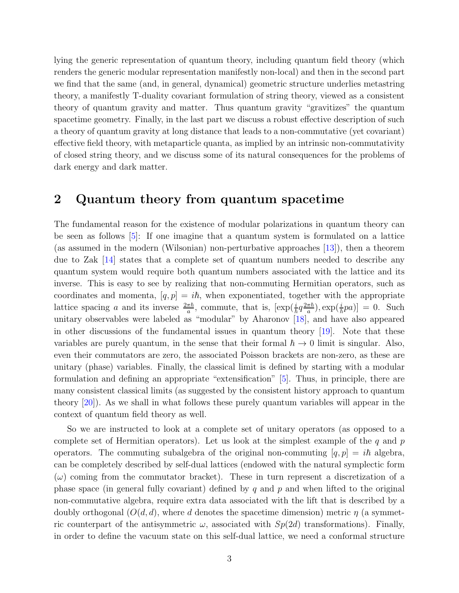lying the generic representation of quantum theory, including quantum field theory (which renders the generic modular representation manifestly non-local) and then in the second part we find that the same (and, in general, dynamical) geometric structure underlies metastring theory, a manifestly T-duality covariant formulation of string theory, viewed as a consistent theory of quantum gravity and matter. Thus quantum gravity "gravitizes" the quantum spacetime geometry. Finally, in the last part we discuss a robust effective description of such a theory of quantum gravity at long distance that leads to a non-commutative (yet covariant) effective field theory, with metaparticle quanta, as implied by an intrinsic non-commutativity of closed string theory, and we discuss some of its natural consequences for the problems of dark energy and dark matter.

## 2 Quantum theory from quantum spacetime

The fundamental reason for the existence of modular polarizations in quantum theory can be seen as follows [\[5\]](#page-29-5): If one imagine that a quantum system is formulated on a lattice (as assumed in the modern (Wilsonian) non-perturbative approaches [\[13\]](#page-29-3)), then a theorem due to Zak [\[14\]](#page-29-4) states that a complete set of quantum numbers needed to describe any quantum system would require both quantum numbers associated with the lattice and its inverse. This is easy to see by realizing that non-commuting Hermitian operators, such as coordinates and momenta,  $[q, p] = i\hbar$ , when exponentiated, together with the appropriate lattice spacing a and its inverse  $\frac{2\pi\hbar}{a}$ , commute, that is,  $[\exp(\frac{i}{\hbar}q\frac{2\pi\hbar}{a}$  $\frac{\pi\hbar}{a}$ , exp $(\frac{i}{\hbar}pa)$ ] = 0. Such unitary observables were labeled as "modular" by Aharonov [\[18\]](#page-29-14), and have also appeared in other discussions of the fundamental issues in quantum theory [\[19\]](#page-29-15). Note that these variables are purely quantum, in the sense that their formal  $\hbar \to 0$  limit is singular. Also, even their commutators are zero, the associated Poisson brackets are non-zero, as these are unitary (phase) variables. Finally, the classical limit is defined by starting with a modular formulation and defining an appropriate "extensification" [\[5\]](#page-29-5). Thus, in principle, there are many consistent classical limits (as suggested by the consistent history approach to quantum theory [\[20\]](#page-29-16)). As we shall in what follows these purely quantum variables will appear in the context of quantum field theory as well.

So we are instructed to look at a complete set of unitary operators (as opposed to a complete set of Hermitian operators). Let us look at the simplest example of the  $q$  and  $p$ operators. The commuting subalgebra of the original non-commuting  $|q, p| = i\hbar$  algebra, can be completely described by self-dual lattices (endowed with the natural symplectic form  $(\omega)$  coming from the commutator bracket). These in turn represent a discretization of a phase space (in general fully covariant) defined by q and p and when lifted to the original non-commutative algebra, require extra data associated with the lift that is described by a doubly orthogonal  $(O(d, d))$ , where d denotes the spacetime dimension) metric  $\eta$  (a symmetric counterpart of the antisymmetric  $\omega$ , associated with  $Sp(2d)$  transformations). Finally, in order to define the vacuum state on this self-dual lattice, we need a conformal structure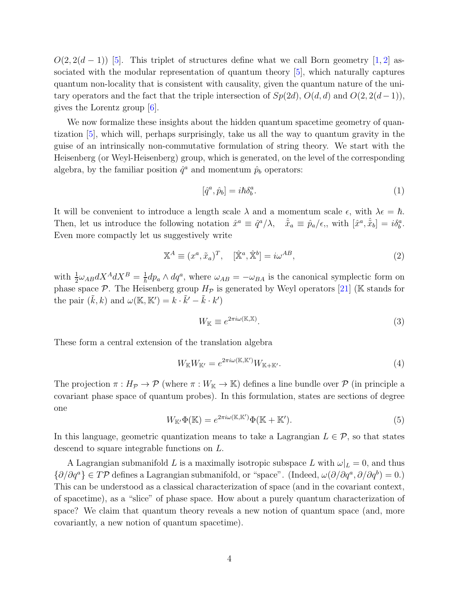$O(2, 2(d-1))$  [\[5\]](#page-29-5). This triplet of structures define what we call Born geometry [\[1,](#page-28-0) [2\]](#page-28-1) associated with the modular representation of quantum theory [\[5\]](#page-29-5), which naturally captures quantum non-locality that is consistent with causality, given the quantum nature of the unitary operators and the fact that the triple intersection of  $Sp(2d)$ ,  $O(d, d)$  and  $O(2, 2(d-1))$ , gives the Lorentz group [\[6\]](#page-29-8).

We now formalize these insights about the hidden quantum spacetime geometry of quantization [\[5\]](#page-29-5), which will, perhaps surprisingly, take us all the way to quantum gravity in the guise of an intrinsically non-commutative formulation of string theory. We start with the Heisenberg (or Weyl-Heisenberg) group, which is generated, on the level of the corresponding algebra, by the familiar position  $\hat{q}^a$  and momentum  $\hat{p}_b$  operators:

$$
[\hat{q}^a, \hat{p}_b] = i\hbar \delta^a_b. \tag{1}
$$

It will be convenient to introduce a length scale  $\lambda$  and a momentum scale  $\epsilon$ , with  $\lambda \epsilon = \hbar$ . Then, let us introduce the following notation  $\hat{x}^a \equiv \hat{q}^a/\lambda$ ,  $\hat{\tilde{x}}_a \equiv \hat{p}_a/\epsilon$ , with  $[\hat{x}^a, \hat{\tilde{x}}_b] = i\delta^a_b$ . Even more compactly let us suggestively write

$$
\mathbb{X}^{A} \equiv (x^{a}, \tilde{x}_{a})^{T}, \quad [\hat{\mathbb{X}}^{a}, \hat{\mathbb{X}}^{b}] = i\omega^{AB}, \tag{2}
$$

with  $\frac{1}{2}\omega_{AB}dX^{A}dX^{B} = \frac{1}{\hbar}dp_{a}\wedge dq^{a}$ , where  $\omega_{AB} = -\omega_{BA}$  is the canonical symplectic form on phase space  $\mathcal{P}$ . The Heisenberg group  $H_{\mathcal{P}}$  is generated by Weyl operators [\[21\]](#page-29-17) (K stands for the pair  $(\tilde{k}, k)$  and  $\omega(\mathbb{K}, \mathbb{K}') = k \cdot \tilde{k}' - \tilde{k} \cdot k'$ 

$$
W_{\mathbb{K}} \equiv e^{2\pi i \omega(\mathbb{K}, \mathbb{X})}.
$$
\n(3)

These form a central extension of the translation algebra

$$
W_{\mathbb{K}}W_{\mathbb{K}'} = e^{2\pi i \omega(\mathbb{K}, \mathbb{K}')}W_{\mathbb{K} + \mathbb{K}'}.
$$
\n<sup>(4)</sup>

The projection  $\pi : H_{\mathcal{P}} \to \mathcal{P}$  (where  $\pi : W_{\mathbb{K}} \to \mathbb{K}$ ) defines a line bundle over  $\mathcal{P}$  (in principle a covariant phase space of quantum probes). In this formulation, states are sections of degree one

$$
W_{\mathbb{K}'}\Phi(\mathbb{K}) = e^{2\pi i \omega(\mathbb{K}, \mathbb{K}')} \Phi(\mathbb{K} + \mathbb{K}').
$$
\n(5)

In this language, geometric quantization means to take a Lagrangian  $L \in \mathcal{P}$ , so that states descend to square integrable functions on L.

A Lagrangian submanifold L is a maximally isotropic subspace L with  $\omega|_L = 0$ , and thus  $\{\partial/\partial q^a\} \in T\mathcal{P}$  defines a Lagrangian submanifold, or "space". (Indeed,  $\omega(\partial/\partial q^a, \partial/\partial q^b) = 0.$ ) This can be understood as a classical characterization of space (and in the covariant context, of spacetime), as a "slice" of phase space. How about a purely quantum characterization of space? We claim that quantum theory reveals a new notion of quantum space (and, more covariantly, a new notion of quantum spacetime).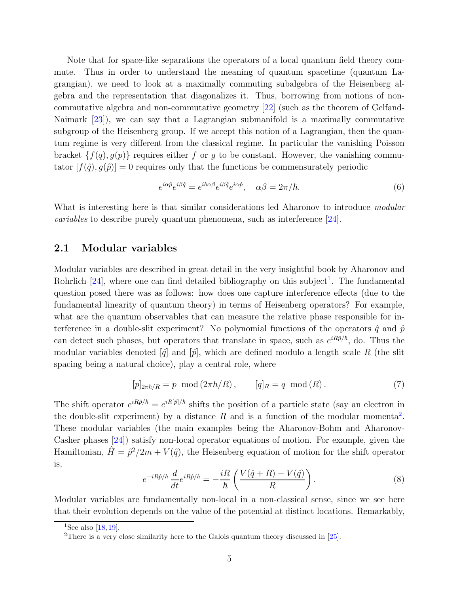Note that for space-like separations the operators of a local quantum field theory commute. Thus in order to understand the meaning of quantum spacetime (quantum Lagrangian), we need to look at a maximally commuting subalgebra of the Heisenberg algebra and the representation that diagonalizes it. Thus, borrowing from notions of noncommutative algebra and non-commutative geometry [\[22\]](#page-30-0) (such as the theorem of Gelfand-Naimark [\[23\]](#page-30-1)), we can say that a Lagrangian submanifold is a maximally commutative subgroup of the Heisenberg group. If we accept this notion of a Lagrangian, then the quantum regime is very different from the classical regime. In particular the vanishing Poisson bracket  $\{f(q), g(p)\}\$  requires either f or g to be constant. However, the vanishing commutator  $[f(\hat{q}), g(\hat{p})] = 0$  requires only that the functions be commensurately periodic

$$
e^{i\alpha \hat{p}} e^{i\beta \hat{q}} = e^{i\hbar \alpha \beta} e^{i\beta \hat{q}} e^{i\alpha \hat{p}}, \quad \alpha \beta = 2\pi/\hbar. \tag{6}
$$

What is interesting here is that similar considerations led Aharonov to introduce modular variables to describe purely quantum phenomena, such as interference [\[24\]](#page-30-2).

#### 2.1 Modular variables

Modular variables are described in great detail in the very insightful book by Aharonov and Rohrlich  $[24]$ , where one can find detailed bibliography on this subject<sup>[1](#page-4-0)</sup>. The fundamental question posed there was as follows: how does one capture interference effects (due to the fundamental linearity of quantum theory) in terms of Heisenberg operators? For example, what are the quantum observables that can measure the relative phase responsible for interference in a double-slit experiment? No polynomial functions of the operators  $\hat{q}$  and  $\hat{p}$ can detect such phases, but operators that translate in space, such as  $e^{iR\hat{p}/\hbar}$ , do. Thus the modular variables denoted  $\left[\hat{q}\right]$  and  $\left[\hat{p}\right]$ , which are defined modulo a length scale R (the slit spacing being a natural choice), play a central role, where

$$
[p]_{2\pi\hbar/R} = p \mod (2\pi\hbar/R), \qquad [q]_R = q \mod (R). \tag{7}
$$

The shift operator  $e^{iR\hat{p}/\hbar} = e^{iR[\hat{p}]/\hbar}$  shifts the position of a particle state (say an electron in the double-slit experiment) by a distance R and is a function of the modular momenta<sup>[2](#page-4-1)</sup>. These modular variables (the main examples being the Aharonov-Bohm and Aharonov-Casher phases [\[24\]](#page-30-2)) satisfy non-local operator equations of motion. For example, given the Hamiltonian,  $\hat{H} = \hat{p}^2/2m + V(\hat{q})$ , the Heisenberg equation of motion for the shift operator is,

$$
e^{-iR\hat{p}/\hbar} \frac{d}{dt} e^{iR\hat{p}/\hbar} = -\frac{iR}{\hbar} \left( \frac{V(\hat{q} + R) - V(\hat{q})}{R} \right). \tag{8}
$$

Modular variables are fundamentally non-local in a non-classical sense, since we see here that their evolution depends on the value of the potential at distinct locations. Remarkably,

<sup>&</sup>lt;sup>1</sup>See also [\[18,](#page-29-14) [19\]](#page-29-15).

<span id="page-4-1"></span><span id="page-4-0"></span><sup>&</sup>lt;sup>2</sup>There is a very close similarity here to the Galois quantum theory discussed in  $[25]$ .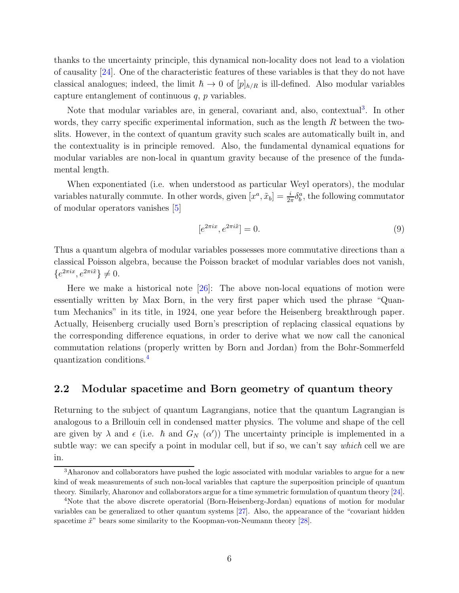thanks to the uncertainty principle, this dynamical non-locality does not lead to a violation of causality [\[24\]](#page-30-2). One of the characteristic features of these variables is that they do not have classical analogues; indeed, the limit  $\hbar \to 0$  of  $[p]_{h/R}$  is ill-defined. Also modular variables capture entanglement of continuous  $q$ ,  $p$  variables.

Note that modular variables are, in general, covariant and, also, contextual<sup>[3](#page-5-0)</sup>. In other words, they carry specific experimental information, such as the length R between the twoslits. However, in the context of quantum gravity such scales are automatically built in, and the contextuality is in principle removed. Also, the fundamental dynamical equations for modular variables are non-local in quantum gravity because of the presence of the fundamental length.

When exponentiated (i.e. when understood as particular Weyl operators), the modular variables naturally commute. In other words, given  $[x^a, \tilde{x}_b] = \frac{i}{2\pi} \delta_b^a$ , the following commutator of modular operators vanishes [\[5\]](#page-29-5)

$$
[e^{2\pi ix}, e^{2\pi i\tilde{x}}] = 0.
$$
\n<sup>(9)</sup>

Thus a quantum algebra of modular variables possesses more commutative directions than a classical Poisson algebra, because the Poisson bracket of modular variables does not vanish,  $\{e^{2\pi ix}, e^{2\pi i \tilde{x}}\}\neq 0.$ 

Here we make a historical note  $[26]$ : The above non-local equations of motion were essentially written by Max Born, in the very first paper which used the phrase "Quantum Mechanics" in its title, in 1924, one year before the Heisenberg breakthrough paper. Actually, Heisenberg crucially used Born's prescription of replacing classical equations by the corresponding difference equations, in order to derive what we now call the canonical commutation relations (properly written by Born and Jordan) from the Bohr-Sommerfeld quantization conditions.[4](#page-5-1)

#### 2.2 Modular spacetime and Born geometry of quantum theory

Returning to the subject of quantum Lagrangians, notice that the quantum Lagrangian is analogous to a Brillouin cell in condensed matter physics. The volume and shape of the cell are given by  $\lambda$  and  $\epsilon$  (i.e.  $\hbar$  and  $G_N(\alpha')$ ) The uncertainty principle is implemented in a subtle way: we can specify a point in modular cell, but if so, we can't say *which* cell we are in.

<span id="page-5-0"></span><sup>&</sup>lt;sup>3</sup>Aharonov and collaborators have pushed the logic associated with modular variables to argue for a new kind of weak measurements of such non-local variables that capture the superposition principle of quantum theory. Similarly, Aharonov and collaborators argue for a time symmetric formulation of quantum theory [\[24\]](#page-30-2).

<span id="page-5-1"></span><sup>&</sup>lt;sup>4</sup>Note that the above discrete operatorial (Born-Heisenberg-Jordan) equations of motion for modular variables can be generalized to other quantum systems [\[27\]](#page-30-5). Also, the appearance of the "covariant hidden spacetime  $\tilde{x}$ " bears some similarity to the Koopman-von-Neumann theory [\[28\]](#page-30-6).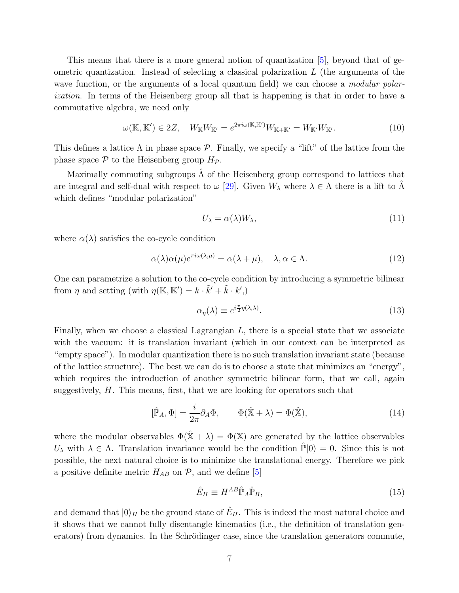This means that there is a more general notion of quantization [\[5\]](#page-29-5), beyond that of geometric quantization. Instead of selecting a classical polarization  $L$  (the arguments of the wave function, or the arguments of a local quantum field) we can choose a *modular polar*ization. In terms of the Heisenberg group all that is happening is that in order to have a commutative algebra, we need only

$$
\omega(\mathbb{K}, \mathbb{K}') \in 2Z, \quad W_{\mathbb{K}}W_{\mathbb{K}'} = e^{2\pi i \omega(\mathbb{K}, \mathbb{K}')}W_{\mathbb{K} + \mathbb{K}'} = W_{\mathbb{K}'}W_{\mathbb{K}'}.
$$
\n(10)

This defines a lattice  $\Lambda$  in phase space  $\mathcal P$ . Finally, we specify a "lift" of the lattice from the phase space  $P$  to the Heisenberg group  $H_P$ .

Maximally commuting subgroups  $\Lambda$  of the Heisenberg group correspond to lattices that are integral and self-dual with respect to  $\omega$  [\[29\]](#page-30-7). Given  $W_{\lambda}$  where  $\lambda \in \Lambda$  there is a lift to  $\Lambda$ which defines "modular polarization"

$$
U_{\lambda} = \alpha(\lambda)W_{\lambda},\tag{11}
$$

where  $\alpha(\lambda)$  satisfies the co-cycle condition

$$
\alpha(\lambda)\alpha(\mu)e^{\pi i\omega(\lambda,\mu)} = \alpha(\lambda + \mu), \quad \lambda, \alpha \in \Lambda.
$$
 (12)

One can parametrize a solution to the co-cycle condition by introducing a symmetric bilinear from  $\eta$  and setting (with  $\eta(\mathbb{K}, \mathbb{K}') = k \cdot \tilde{k}' + \tilde{k} \cdot k'$ .)

$$
\alpha_{\eta}(\lambda) \equiv e^{i\frac{\pi}{2}\eta(\lambda,\lambda)}.\tag{13}
$$

Finally, when we choose a classical Lagrangian L, there is a special state that we associate with the vacuum: it is translation invariant (which in our context can be interpreted as "empty space"). In modular quantization there is no such translation invariant state (because of the lattice structure). The best we can do is to choose a state that minimizes an "energy", which requires the introduction of another symmetric bilinear form, that we call, again suggestively,  $H$ . This means, first, that we are looking for operators such that

$$
[\hat{\mathbb{P}}_A, \Phi] = \frac{i}{2\pi} \partial_A \Phi, \qquad \Phi(\hat{\mathbb{X}} + \lambda) = \Phi(\hat{\mathbb{X}}), \tag{14}
$$

where the modular observables  $\Phi(\hat{X} + \lambda) = \Phi(X)$  are generated by the lattice observables  $U_{\lambda}$  with  $\lambda \in \Lambda$ . Translation invariance would be the condition  $\mathbb{P}|0\rangle = 0$ . Since this is not possible, the next natural choice is to minimize the translational energy. Therefore we pick a positive definite metric  $H_{AB}$  on  $P$ , and we define [\[5\]](#page-29-5)

$$
\hat{E}_H \equiv H^{AB} \hat{\mathbb{P}}_A \hat{\mathbb{P}}_B,\tag{15}
$$

and demand that  $|0\rangle_H$  be the ground state of  $\hat{E}_H$ . This is indeed the most natural choice and it shows that we cannot fully disentangle kinematics (i.e., the definition of translation generators) from dynamics. In the Schrödinger case, since the translation generators commute,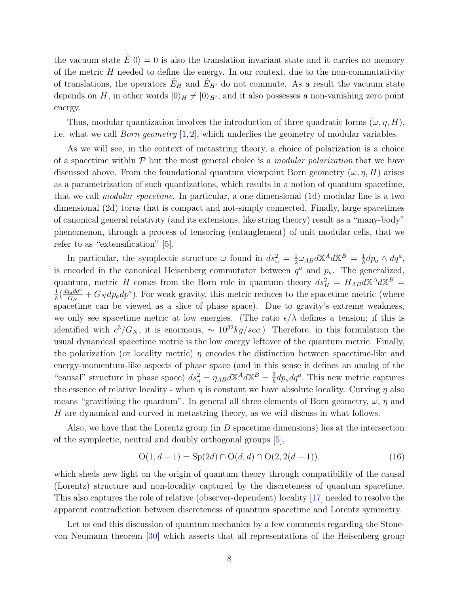the vacuum state  $E|0\rangle = 0$  is also the translation invariant state and it carries no memory of the metric  $H$  needed to define the energy. In our context, due to the non-commutativity of translations, the operators  $\hat{E}_H$  and  $\hat{E}_{H'}$  do not commute. As a result the vacuum state depends on H, in other words  $|0\rangle_H \neq |0\rangle_{H'}$ , and it also possesses a non-vanishing zero point energy.

Thus, modular quantization involves the introduction of three quadratic forms  $(\omega, \eta, H)$ , i.e. what we call *Born geometry*  $[1, 2]$  $[1, 2]$  $[1, 2]$ , which underlies the geometry of modular variables.

As we will see, in the context of metastring theory, a choice of polarization is a choice of a spacetime within  $P$  but the most general choice is a *modular polarization* that we have discussed above. From the foundational quantum viewpoint Born geometry  $(\omega, \eta, H)$  arises as a parametrization of such quantizations, which results in a notion of quantum spacetime, that we call modular spacetime. In particular, a one dimensional (1d) modular line is a two dimensional (2d) torus that is compact and not-simply connected. Finally, large spacetimes of canonical general relativity (and its extensions, like string theory) result as a "many-body" phenomenon, through a process of tensoring (entanglement) of unit modular cells, that we refer to as "extensification" [\[5\]](#page-29-5).

In particular, the symplectic structure  $\omega$  found in  $ds_{\omega}^2 = \frac{1}{2}$  $\frac{1}{2}\omega_{AB}d\mathbb{X}^{A}d\mathbb{X}^{B} = \frac{1}{\hbar}dp_{a}\wedge dq^{a},$ is encoded in the canonical Heisenberg commutator between  $q^a$  and  $p_a$ . The generalized, quantum, metric H comes from the Born rule in quantum theory  $ds_H^2 = H_{AB} dX^A dX^B =$  $\frac{1}{\hbar} \Big( \frac{dq_a dq^a}{G_N}$  $\frac{d_{a}dq^{a}}{G_{N}} + G_{N}dp_{a}dp^{a}$ ). For weak gravity, this metric reduces to the spacetime metric (where spacetime can be viewed as a slice of phase space). Due to gravity's extreme weakness, we only see spacetime metric at low energies. (The ratio  $\epsilon/\lambda$  defines a tension; if this is identified with  $c^3/G_N$ , it is enormous,  $\sim 10^{32} kg/sec$ .) Therefore, in this formulation the usual dynamical spacetime metric is the low energy leftover of the quantum metric. Finally, the polarization (or locality metric)  $\eta$  encodes the distinction between spacetime-like and energy-momentum-like aspects of phase space (and in this sense it defines an analog of the "causal" structure in phase space)  $ds_{\eta}^2 = \eta_{AB} dX^A dX^B = \frac{2}{\hbar} dp_a dq^a$ . This new metric captures the essence of relative locality - when  $\eta$  is constant we have absolute locality. Curving  $\eta$  also means "gravitizing the quantum". In general all three elements of Born geometry,  $\omega$ ,  $\eta$  and H are dynamical and curved in metastring theory, as we will discuss in what follows.

Also, we have that the Lorentz group (in  $D$  spacetime dimensions) lies at the intersection of the symplectic, neutral and doubly orthogonal groups [\[5\]](#page-29-5),

$$
O(1, d-1) = Sp(2d) \cap O(d, d) \cap O(2, 2(d-1)),
$$
\n(16)

which sheds new light on the origin of quantum theory through compatibility of the causal (Lorentz) structure and non-locality captured by the discreteness of quantum spacetime. This also captures the role of relative (observer-dependent) locality [\[17\]](#page-29-13) needed to resolve the apparent contradiction between discreteness of quantum spacetime and Lorentz symmetry.

Let us end this discussion of quantum mechanics by a few comments regarding the Stonevon Neumann theorem [\[30\]](#page-30-8) which asserts that all representations of the Heisenberg group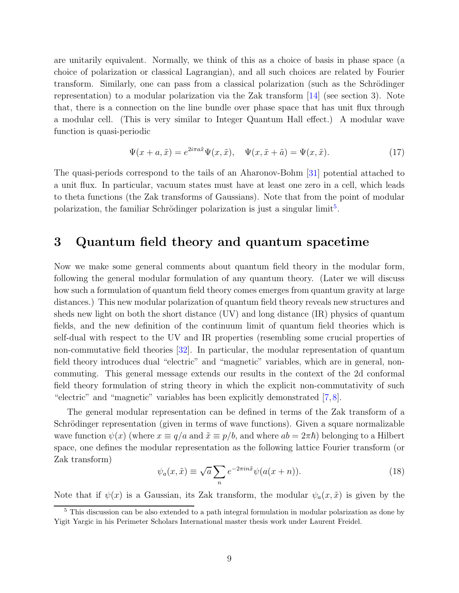are unitarily equivalent. Normally, we think of this as a choice of basis in phase space (a choice of polarization or classical Lagrangian), and all such choices are related by Fourier transform. Similarly, one can pass from a classical polarization (such as the Schrödinger representation) to a modular polarization via the Zak transform [\[14\]](#page-29-4) (see section 3). Note that, there is a connection on the line bundle over phase space that has unit flux through a modular cell. (This is very similar to Integer Quantum Hall effect.) A modular wave function is quasi-periodic

$$
\Psi(x+a,\tilde{x}) = e^{2i\pi a\tilde{x}}\Psi(x,\tilde{x}), \quad \Psi(x,\tilde{x}+\tilde{a}) = \Psi(x,\tilde{x}).
$$
\n(17)

The quasi-periods correspond to the tails of an Aharonov-Bohm [\[31\]](#page-30-9) potential attached to a unit flux. In particular, vacuum states must have at least one zero in a cell, which leads to theta functions (the Zak transforms of Gaussians). Note that from the point of modular polarization, the familiar Schrödinger polarization is just a singular limit<sup>[5](#page-8-0)</sup>.

## 3 Quantum field theory and quantum spacetime

Now we make some general comments about quantum field theory in the modular form, following the general modular formulation of any quantum theory. (Later we will discuss how such a formulation of quantum field theory comes emerges from quantum gravity at large distances.) This new modular polarization of quantum field theory reveals new structures and sheds new light on both the short distance (UV) and long distance (IR) physics of quantum fields, and the new definition of the continuum limit of quantum field theories which is self-dual with respect to the UV and IR properties (resembling some crucial properties of non-commutative field theories [\[32\]](#page-30-10). In particular, the modular representation of quantum field theory introduces dual "electric" and "magnetic" variables, which are in general, noncommuting. This general message extends our results in the context of the 2d conformal field theory formulation of string theory in which the explicit non-commutativity of such "electric" and "magnetic" variables has been explicitly demonstrated [\[7,](#page-29-18) [8\]](#page-29-9).

The general modular representation can be defined in terms of the Zak transform of a Schrödinger representation (given in terms of wave functions). Given a square normalizable wave function  $\psi(x)$  (where  $x \equiv q/a$  and  $\tilde{x} \equiv p/b$ , and where  $ab = 2\pi\hbar$ ) belonging to a Hilbert space, one defines the modular representation as the following lattice Fourier transform (or Zak transform)

$$
\psi_a(x,\tilde{x}) \equiv \sqrt{a} \sum_n e^{-2\pi i n \tilde{x}} \psi(a(x+n)). \tag{18}
$$

Note that if  $\psi(x)$  is a Gaussian, its Zak transform, the modular  $\psi_a(x, \tilde{x})$  is given by the

<span id="page-8-0"></span><sup>5</sup> This discussion can be also extended to a path integral formulation in modular polarization as done by Yigit Yargic in his Perimeter Scholars International master thesis work under Laurent Freidel.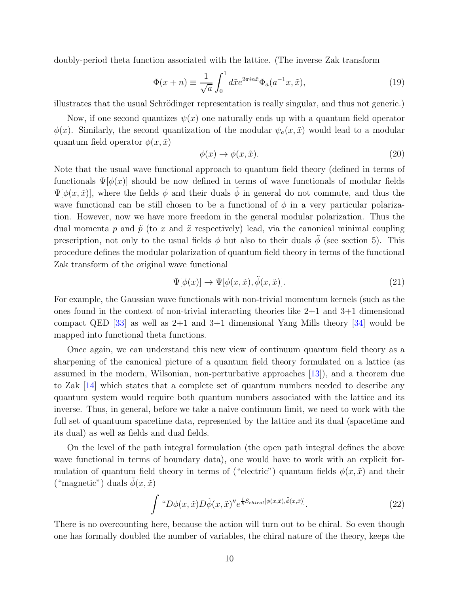doubly-period theta function associated with the lattice. (The inverse Zak transform

$$
\Phi(x+n) \equiv \frac{1}{\sqrt{a}} \int_0^1 d\tilde{x} e^{2\pi i n \tilde{x}} \Phi_a(a^{-1}x, \tilde{x}), \qquad (19)
$$

illustrates that the usual Schrödinger representation is really singular, and thus not generic.)

Now, if one second quantizes  $\psi(x)$  one naturally ends up with a quantum field operator  $\phi(x)$ . Similarly, the second quantization of the modular  $\psi_a(x, \tilde{x})$  would lead to a modular quantum field operator  $\phi(x, \tilde{x})$ 

$$
\phi(x) \to \phi(x, \tilde{x}). \tag{20}
$$

Note that the usual wave functional approach to quantum field theory (defined in terms of functionals  $\Psi[\phi(x)]$  should be now defined in terms of wave functionals of modular fields  $\Psi[\phi(x, \tilde{x})]$ , where the fields  $\phi$  and their duals  $\phi$  in general do not commute, and thus the wave functional can be still chosen to be a functional of  $\phi$  in a very particular polarization. However, now we have more freedom in the general modular polarization. Thus the dual momenta p and  $\tilde{p}$  (to x and  $\tilde{x}$  respectively) lead, via the canonical minimal coupling prescription, not only to the usual fields  $\phi$  but also to their duals  $\phi$  (see section 5). This procedure defines the modular polarization of quantum field theory in terms of the functional Zak transform of the original wave functional

$$
\Psi[\phi(x)] \to \Psi[\phi(x,\tilde{x}), \tilde{\phi}(x,\tilde{x})]. \tag{21}
$$

For example, the Gaussian wave functionals with non-trivial momentum kernels (such as the ones found in the context of non-trivial interacting theories like  $2+1$  and  $3+1$  dimensional compact QED [\[33\]](#page-30-11) as well as  $2+1$  and  $3+1$  dimensional Yang Mills theory [\[34\]](#page-30-12) would be mapped into functional theta functions.

Once again, we can understand this new view of continuum quantum field theory as a sharpening of the canonical picture of a quantum field theory formulated on a lattice (as assumed in the modern, Wilsonian, non-perturbative approaches [\[13\]](#page-29-3)), and a theorem due to Zak [\[14\]](#page-29-4) which states that a complete set of quantum numbers needed to describe any quantum system would require both quantum numbers associated with the lattice and its inverse. Thus, in general, before we take a naive continuum limit, we need to work with the full set of quantuum spacetime data, represented by the lattice and its dual (spacetime and its dual) as well as fields and dual fields.

On the level of the path integral formulation (the open path integral defines the above wave functional in terms of boundary data), one would have to work with an explicit formulation of quantum field theory in terms of ("electric") quantum fields  $\phi(x, \tilde{x})$  and their ("magnetic") duals  $\tilde{\phi}(x, \tilde{x})$ 

$$
\int \, ^\omega D\phi(x,\tilde{x}) D\tilde{\phi}(x,\tilde{x})'' e^{\frac{i}{\hbar}S_{chiral}[\phi(x,\tilde{x}),\tilde{\phi}(x,\tilde{x})]}.
$$
 (22)

There is no overcounting here, because the action will turn out to be chiral. So even though one has formally doubled the number of variables, the chiral nature of the theory, keeps the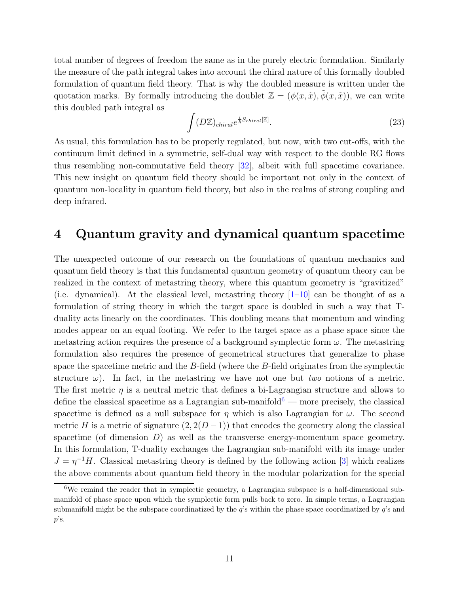total number of degrees of freedom the same as in the purely electric formulation. Similarly the measure of the path integral takes into account the chiral nature of this formally doubled formulation of quantum field theory. That is why the doubled measure is written under the quotation marks. By formally introducing the doublet  $\mathbb{Z} = (\phi(x, \tilde{x}), \tilde{\phi}(x, \tilde{x}))$ , we can write this doubled path integral as

$$
\int (D\mathbb{Z})_{chiral} e^{\frac{i}{\hbar}S_{chiral}[\mathbb{Z}]}.
$$
\n(23)

As usual, this formulation has to be properly regulated, but now, with two cut-offs, with the continuum limit defined in a symmetric, self-dual way with respect to the double RG flows thus resembling non-commutative field theory [\[32\]](#page-30-10), albeit with full spacetime covariance. This new insight on quantum field theory should be important not only in the context of quantum non-locality in quantum field theory, but also in the realms of strong coupling and deep infrared.

## 4 Quantum gravity and dynamical quantum spacetime

The unexpected outcome of our research on the foundations of quantum mechanics and quantum field theory is that this fundamental quantum geometry of quantum theory can be realized in the context of metastring theory, where this quantum geometry is "gravitized" (i.e. dynamical). At the classical level, metastring theory  $[1-10]$  can be thought of as a formulation of string theory in which the target space is doubled in such a way that Tduality acts linearly on the coordinates. This doubling means that momentum and winding modes appear on an equal footing. We refer to the target space as a phase space since the metastring action requires the presence of a background symplectic form  $\omega$ . The metastring formulation also requires the presence of geometrical structures that generalize to phase space the spacetime metric and the B-field (where the B-field originates from the symplectic structure  $\omega$ ). In fact, in the metastring we have not one but two notions of a metric. The first metric  $\eta$  is a neutral metric that defines a bi-Lagrangian structure and allows to define the classical spacetime as a Lagrangian sub-manifold<sup>[6](#page-10-0)</sup> — more precisely, the classical spacetime is defined as a null subspace for  $\eta$  which is also Lagrangian for  $\omega$ . The second metric H is a metric of signature  $(2, 2(D-1))$  that encodes the geometry along the classical spacetime (of dimension  $D$ ) as well as the transverse energy-momentum space geometry. In this formulation, T-duality exchanges the Lagrangian sub-manifold with its image under  $J = \eta^{-1}H$ . Classical metastring theory is defined by the following action [\[3\]](#page-29-7) which realizes the above comments about quantum field theory in the modular polarization for the special

<span id="page-10-0"></span><sup>&</sup>lt;sup>6</sup>We remind the reader that in symplectic geometry, a Lagrangian subspace is a half-dimensional submanifold of phase space upon which the symplectic form pulls back to zero. In simple terms, a Lagrangian submanifold might be the subspace coordinatized by the q's within the phase space coordinatized by q's and  $p$ 's.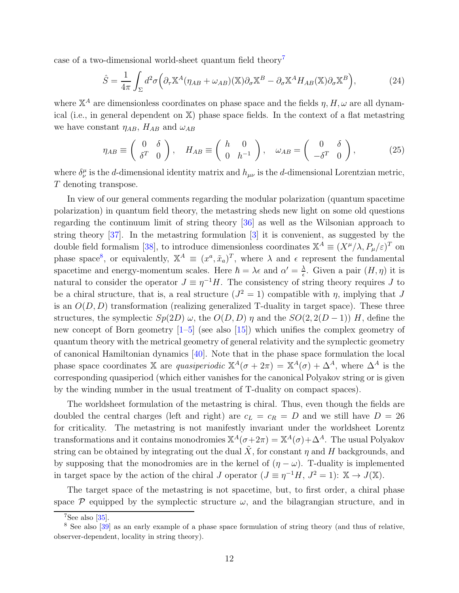case of a two-dimensional world-sheet quantum field theory[7](#page-11-0)

$$
\hat{S} = \frac{1}{4\pi} \int_{\Sigma} d^2 \sigma \left( \partial_{\tau} \mathbb{X}^A (\eta_{AB} + \omega_{AB}) (\mathbb{X}) \partial_{\sigma} \mathbb{X}^B - \partial_{\sigma} \mathbb{X}^A H_{AB} (\mathbb{X}) \partial_{\sigma} \mathbb{X}^B \right), \tag{24}
$$

where  $\mathbb{X}^A$  are dimensionless coordinates on phase space and the fields  $\eta$ ,  $H, \omega$  are all dynamical (i.e., in general dependent on X) phase space fields. In the context of a flat metastring we have constant  $\eta_{AB}$ ,  $H_{AB}$  and  $\omega_{AB}$ 

$$
\eta_{AB} \equiv \begin{pmatrix} 0 & \delta \\ \delta^T & 0 \end{pmatrix}, \quad H_{AB} \equiv \begin{pmatrix} h & 0 \\ 0 & h^{-1} \end{pmatrix}, \quad \omega_{AB} = \begin{pmatrix} 0 & \delta \\ -\delta^T & 0 \end{pmatrix}, \tag{25}
$$

where  $\delta^{\mu}_{\nu}$  is the d-dimensional identity matrix and  $h_{\mu\nu}$  is the d-dimensional Lorentzian metric, T denoting transpose.

In view of our general comments regarding the modular polarization (quantum spacetime polarization) in quantum field theory, the metastring sheds new light on some old questions regarding the continuum limit of string theory [\[36\]](#page-30-13) as well as the Wilsonian approach to string theory [\[37\]](#page-30-14). In the metastring formulation [\[3\]](#page-29-7) it is convenient, as suggested by the double field formalism [\[38\]](#page-31-0), to introduce dimensionless coordinates  $\mathbb{X}^A \equiv (X^\mu/\lambda, P_\mu/\varepsilon)^T$  on phase space<sup>[8](#page-11-1)</sup>, or equivalently,  $\mathbb{X}^A \equiv (x^a, \tilde{x}_a)^T$ , where  $\lambda$  and  $\epsilon$  represent the fundamental spacetime and energy-momentum scales. Here  $\hbar = \lambda \epsilon$  and  $\alpha' = \frac{\lambda}{\epsilon}$  $\frac{\lambda}{\epsilon}$ . Given a pair  $(H, \eta)$  it is natural to consider the operator  $J \equiv \eta^{-1}H$ . The consistency of string theory requires J to be a chiral structure, that is, a real structure  $(J^2 = 1)$  compatible with  $\eta$ , implying that J is an  $O(D, D)$  transformation (realizing generalized T-duality in target space). These three structures, the symplectic  $Sp(2D)$   $\omega$ , the  $O(D, D)$   $\eta$  and the  $SO(2, 2(D-1))$  H, define the new concept of Born geometry [\[1–](#page-28-0)[5\]](#page-29-5) (see also [\[15\]](#page-29-11)) which unifies the complex geometry of quantum theory with the metrical geometry of general relativity and the symplectic geometry of canonical Hamiltonian dynamics [\[40\]](#page-31-1). Note that in the phase space formulation the local phase space coordinates X are quasiperiodic  $X^A(\sigma + 2\pi) = X^A(\sigma) + \Delta^A$ , where  $\Delta^A$  is the corresponding quasiperiod (which either vanishes for the canonical Polyakov string or is given by the winding number in the usual treatment of T-duality on compact spaces).

The worldsheet formulation of the metastring is chiral. Thus, even though the fields are doubled the central charges (left and right) are  $c<sub>L</sub> = c<sub>R</sub> = D$  and we still have  $D = 26$ for criticality. The metastring is not manifestly invariant under the worldsheet Lorentz transformations and it contains monodromies  $\mathbb{X}^A(\sigma+2\pi) = \mathbb{X}^A(\sigma)+\Delta^A$ . The usual Polyakov string can be obtained by integrating out the dual  $\tilde{X}$ , for constant  $\eta$  and H backgrounds, and by supposing that the monodromies are in the kernel of  $(\eta - \omega)$ . T-duality is implemented in target space by the action of the chiral J operator  $(J \equiv \eta^{-1}H, J^2 = 1)$ :  $\mathbb{X} \to J(\mathbb{X})$ .

The target space of the metastring is not spacetime, but, to first order, a chiral phase space  $\mathcal P$  equipped by the symplectic structure  $\omega$ , and the bilagrangian structure, and in

<span id="page-11-0"></span> $7$ See also [\[35\]](#page-30-15).

<span id="page-11-1"></span><sup>8</sup> See also [\[39\]](#page-31-2) as an early example of a phase space formulation of string theory (and thus of relative, observer-dependent, locality in string theory).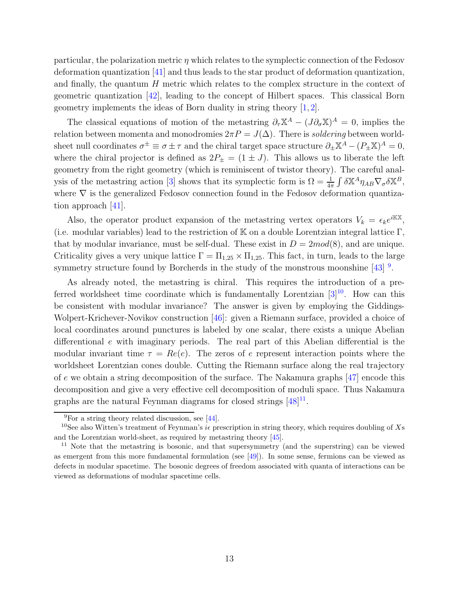particular, the polarization metric  $\eta$  which relates to the symplectic connection of the Fedosov deformation quantization [\[41\]](#page-31-3) and thus leads to the star product of deformation quantization, and finally, the quantum  $H$  metric which relates to the complex structure in the context of geometric quantization [\[42\]](#page-31-4), leading to the concept of Hilbert spaces. This classical Born geometry implements the ideas of Born duality in string theory [\[1,](#page-28-0) [2\]](#page-28-1).

The classical equations of motion of the metastring  $\partial_{\tau} \mathbb{X}^A - (J \partial_{\sigma} \mathbb{X})^A = 0$ , implies the relation between momenta and monodromies  $2\pi P = J(\Delta)$ . There is soldering between worldsheet null coordinates  $\sigma^{\pm} \equiv \sigma \pm \tau$  and the chiral target space structure  $\partial_{\pm} \mathbb{X}^{A} - (P_{\pm} \mathbb{X})^{A} = 0$ , where the chiral projector is defined as  $2P_{\pm} = (1 \pm J)$ . This allows us to liberate the left geometry from the right geometry (which is reminiscent of twistor theory). The careful anal-ysis of the metastring action [\[3\]](#page-29-7) shows that its symplectic form is  $\Omega = \frac{1}{4\pi} \int \delta \mathbb{X}^A \eta_{AB} \nabla_{\sigma} \delta \mathbb{X}^B$ , where  $\nabla$  is the generalized Fedosov connection found in the Fedosov deformation quantization approach [\[41\]](#page-31-3).

Also, the operator product expansion of the metastring vertex operators  $V_k = \epsilon_k e^{i\mathbb{K}\mathbb{X}},$ (i.e. modular variables) lead to the restriction of  $K$  on a double Lorentzian integral lattice  $\Gamma$ , that by modular invariance, must be self-dual. These exist in  $D = 2mod(8)$ , and are unique. Criticality gives a very unique lattice  $\Gamma = \Pi_{1,25} \times \Pi_{1,25}$ . This fact, in turn, leads to the large symmetry structure found by Borcherds in the study of the monstrous moonshine  $[43]$ <sup>[9](#page-12-0)</sup>.

As already noted, the metastring is chiral. This requires the introduction of a preferred worldsheet time coordinate which is fundamentally Lorentzian  $[3]^{10}$  $[3]^{10}$  $[3]^{10}$ . How can this be consistent with modular invariance? The answer is given by employing the Giddings-Wolpert-Krichever-Novikov construction [\[46\]](#page-31-6): given a Riemann surface, provided a choice of local coordinates around punctures is labeled by one scalar, there exists a unique Abelian differentional e with imaginary periods. The real part of this Abelian differential is the modular invariant time  $\tau = Re(e)$ . The zeros of e represent interaction points where the worldsheet Lorentzian cones double. Cutting the Riemann surface along the real trajectory of e we obtain a string decomposition of the surface. The Nakamura graphs [\[47\]](#page-31-7) encode this decomposition and give a very effective cell decomposition of moduli space. Thus Nakamura graphs are the natural Feynman diagrams for closed strings  $[48]^{11}$  $[48]^{11}$  $[48]^{11}$ .

<span id="page-12-0"></span> $^{9}$ For a string theory related discussion, see [\[44\]](#page-31-9).

<span id="page-12-1"></span><sup>&</sup>lt;sup>10</sup>See also Witten's treatment of Feynman's *i* prescription in string theory, which requires doubling of Xs and the Lorentzian world-sheet, as required by metastring theory [\[45\]](#page-31-10).

<span id="page-12-2"></span><sup>&</sup>lt;sup>11</sup> Note that the metastring is bosonic, and that supersymmetry (and the superstring) can be viewed as emergent from this more fundamental formulation (see [\[49\]](#page-31-11)). In some sense, fermions can be viewed as defects in modular spacetime. The bosonic degrees of freedom associated with quanta of interactions can be viewed as deformations of modular spacetime cells.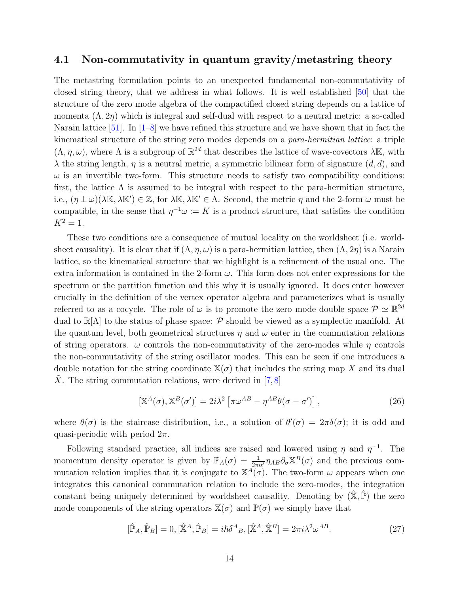#### 4.1 Non-commutativity in quantum gravity/metastring theory

The metastring formulation points to an unexpected fundamental non-commutativity of closed string theory, that we address in what follows. It is well established [\[50\]](#page-31-12) that the structure of the zero mode algebra of the compactified closed string depends on a lattice of momenta  $(\Lambda, 2\eta)$  which is integral and self-dual with respect to a neutral metric: a so-called Narain lattice  $[51]$ . In  $[1-8]$  we have refined this structure and we have shown that in fact the kinematical structure of the string zero modes depends on a para-hermitian lattice: a triple  $(\Lambda, \eta, \omega)$ , where  $\Lambda$  is a subgroup of  $\mathbb{R}^{2d}$  that describes the lattice of wave-covectors  $\lambda \mathbb{K}$ , with  $\lambda$  the string length,  $\eta$  is a neutral metric, a symmetric bilinear form of signature  $(d, d)$ , and  $\omega$  is an invertible two-form. This structure needs to satisfy two compatibility conditions: first, the lattice  $\Lambda$  is assumed to be integral with respect to the para-hermitian structure, i.e.,  $(\eta \pm \omega)(\lambda \mathbb{K}, \lambda \mathbb{K}') \in \mathbb{Z}$ , for  $\lambda \mathbb{K}, \lambda \mathbb{K}' \in \Lambda$ . Second, the metric  $\eta$  and the 2-form  $\omega$  must be compatible, in the sense that  $\eta^{-1}\omega := K$  is a product structure, that satisfies the condition  $K^2 = 1$ .

These two conditions are a consequence of mutual locality on the worldsheet (i.e. worldsheet causality). It is clear that if  $(\Lambda, \eta, \omega)$  is a para-hermitian lattice, then  $(\Lambda, 2\eta)$  is a Narain lattice, so the kinematical structure that we highlight is a refinement of the usual one. The extra information is contained in the 2-form  $\omega$ . This form does not enter expressions for the spectrum or the partition function and this why it is usually ignored. It does enter however crucially in the definition of the vertex operator algebra and parameterizes what is usually referred to as a cocycle. The role of  $\omega$  is to promote the zero mode double space  $\mathcal{P} \simeq \mathbb{R}^{2d}$ dual to  $\mathbb{R}[\Lambda]$  to the status of phase space: P should be viewed as a symplectic manifold. At the quantum level, both geometrical structures  $\eta$  and  $\omega$  enter in the commutation relations of string operators.  $\omega$  controls the non-commutativity of the zero-modes while  $\eta$  controls the non-commutativity of the string oscillator modes. This can be seen if one introduces a double notation for the string coordinate  $\mathbb{X}(\sigma)$  that includes the string map X and its dual X. The string commutation relations, were derived in  $[7, 8]$  $[7, 8]$ 

$$
[\mathbb{X}^{A}(\sigma), \mathbb{X}^{B}(\sigma')] = 2i\lambda^{2} \left[ \pi \omega^{AB} - \eta^{AB} \theta(\sigma - \sigma') \right],
$$
\n(26)

where  $\theta(\sigma)$  is the staircase distribution, i.e., a solution of  $\theta'(\sigma) = 2\pi\delta(\sigma)$ ; it is odd and quasi-periodic with period  $2\pi$ .

Following standard practice, all indices are raised and lowered using  $\eta$  and  $\eta^{-1}$ . The momentum density operator is given by  $\mathbb{P}_A(\sigma) = \frac{1}{2\pi\alpha'} \eta_{AB} \partial_\sigma \mathbb{X}^B(\sigma)$  and the previous commutation relation implies that it is conjugate to  $\mathbb{X}^{\overline{A}}(\sigma)$ . The two-form  $\omega$  appears when one integrates this canonical commutation relation to include the zero-modes, the integration constant being uniquely determined by worldsheet causality. Denoting by  $(\hat{\mathbb{X}}, \hat{\mathbb{P}})$  the zero mode components of the string operators  $\mathbb{X}(\sigma)$  and  $\mathbb{P}(\sigma)$  we simply have that

$$
[\hat{\mathbb{P}}_A, \hat{\mathbb{P}}_B] = 0, [\hat{\mathbb{X}}^A, \hat{\mathbb{P}}_B] = i\hbar \delta^A{}_B, [\hat{\mathbb{X}}^A, \hat{\mathbb{X}}^B] = 2\pi i \lambda^2 \omega^{AB}.
$$
 (27)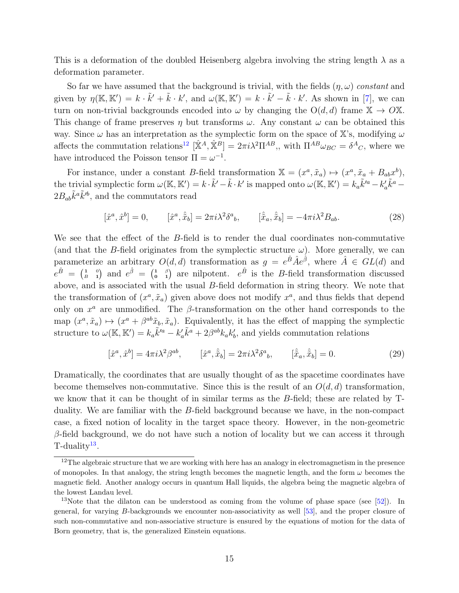This is a deformation of the doubled Heisenberg algebra involving the string length  $\lambda$  as a deformation parameter.

So far we have assumed that the background is trivial, with the fields  $(\eta, \omega)$  constant and given by  $\eta(\mathbb{K},\mathbb{K}')=k \cdot \tilde{k}'+\tilde{k} \cdot k'$ , and  $\omega(\mathbb{K},\mathbb{K}')=k \cdot \tilde{k}'-\tilde{k} \cdot k'$ . As shown in [\[7\]](#page-29-18), we can turn on non-trivial backgrounds encoded into  $\omega$  by changing the  $O(d, d)$  frame  $\mathbb{X} \to O\mathbb{X}$ . This change of frame preserves  $\eta$  but transforms  $\omega$ . Any constant  $\omega$  can be obtained this way. Since  $\omega$  has an interpretation as the symplectic form on the space of X's, modifying  $\omega$ affects the commutation relations<sup>[12](#page-14-0)</sup>  $[\hat{\mathbb{X}}^A, \hat{\mathbb{X}}^B] = 2\pi i \lambda^2 \Pi^{AB}$ ,, with  $\Pi^{AB}\omega_{BC} = \delta^A{}_C$ , where we have introduced the Poisson tensor  $\Pi = \omega^{-1}$ .

For instance, under a constant B-field transformation  $\mathbb{X} = (x^a, \tilde{x}_a) \mapsto (x^a, \tilde{x}_a + B_{ab}x^b),$ the trivial symplectic form  $\omega(\mathbb{K}, \mathbb{K}') = k \cdot \tilde{k}' - \tilde{k} \cdot k'$  is mapped onto  $\omega(\mathbb{K}, \mathbb{K}') = k_a \tilde{k}'^a - k'_c$  $a<sub>a</sub> \tilde{k}^a$  –  $2B_{ab}\tilde{k}^a\tilde{k}^{\prime b}$ , and the commutators read

$$
[\hat{x}^a, \hat{x}^b] = 0, \qquad [\hat{x}^a, \hat{\tilde{x}}_b] = 2\pi i \lambda^2 \delta^a{}_b, \qquad [\hat{\tilde{x}}_a, \hat{\tilde{x}}_b] = -4\pi i \lambda^2 B_{ab}.
$$
 (28)

We see that the effect of the B-field is to render the dual coordinates non-commutative (and that the B-field originates from the symplectic structure  $\omega$ ). More generally, we can parameterize an arbitrary  $O(d, d)$  transformation as  $g = e^{\hat{B}} \hat{A} e^{\hat{\beta}}$ , where  $\hat{A} \in GL(d)$  and  $e^{\hat{B}} = \begin{pmatrix} 1 & 0 \\ B & 1 \end{pmatrix}$  and  $e^{\hat{\beta}} = \begin{pmatrix} 1 & \beta \\ 0 & 1 \end{pmatrix}$  are nilpotent.  $e^{\hat{B}}$  is the B-field transformation discussed above, and is associated with the usual B-field deformation in string theory. We note that the transformation of  $(x^a, \tilde{x}_a)$  given above does not modify  $x^a$ , and thus fields that depend only on  $x^a$  are unmodified. The  $\beta$ -transformation on the other hand corresponds to the map  $(x^a, \tilde{x}_a) \mapsto (x^a + \beta^{ab} \tilde{x}_b, \tilde{x}_a)$ . Equivalently, it has the effect of mapping the symplectic structure to  $\omega(\mathbb{K}, \mathbb{K}') = k_a \tilde{k}'^a - k'_c$  $\tilde{k}_a^{\tilde{k}^a}+2\beta^{ab}k_ak_b^{\prime}$  $b<sub>b</sub>$ , and yields commutation relations

$$
[\hat{x}^a, \hat{x}^b] = 4\pi i \lambda^2 \beta^{ab}, \qquad [\hat{x}^a, \hat{\tilde{x}}_b] = 2\pi i \lambda^2 \delta^a{}_b, \qquad [\hat{\tilde{x}}_a, \hat{\tilde{x}}_b] = 0. \tag{29}
$$

Dramatically, the coordinates that are usually thought of as the spacetime coordinates have become themselves non-commutative. Since this is the result of an  $O(d, d)$  transformation, we know that it can be thought of in similar terms as the B-field; these are related by Tduality. We are familiar with the B-field background because we have, in the non-compact case, a fixed notion of locality in the target space theory. However, in the non-geometric β-field background, we do not have such a notion of locality but we can access it through T-duality<sup>[13](#page-14-1)</sup>.

<span id="page-14-0"></span><sup>&</sup>lt;sup>12</sup>The algebraic structure that we are working with here has an analogy in electromagnetism in the presence of monopoles. In that analogy, the string length becomes the magnetic length, and the form  $\omega$  becomes the magnetic field. Another analogy occurs in quantum Hall liquids, the algebra being the magnetic algebra of the lowest Landau level.

<span id="page-14-1"></span><sup>&</sup>lt;sup>13</sup>Note that the dilaton can be understood as coming from the volume of phase space (see  $[52]$ ). In general, for varying B-backgrounds we encounter non-associativity as well [\[53\]](#page-31-15), and the proper closure of such non-commutative and non-associative structure is ensured by the equations of motion for the data of Born geometry, that is, the generalized Einstein equations.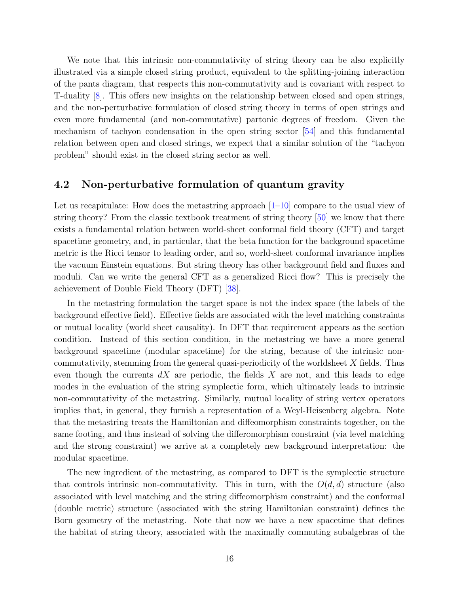We note that this intrinsic non-commutativity of string theory can be also explicitly illustrated via a simple closed string product, equivalent to the splitting-joining interaction of the pants diagram, that respects this non-commutativity and is covariant with respect to T-duality [\[8\]](#page-29-9). This offers new insights on the relationship between closed and open strings, and the non-perturbative formulation of closed string theory in terms of open strings and even more fundamental (and non-commutative) partonic degrees of freedom. Given the mechanism of tachyon condensation in the open string sector [\[54\]](#page-31-16) and this fundamental relation between open and closed strings, we expect that a similar solution of the "tachyon problem" should exist in the closed string sector as well.

### 4.2 Non-perturbative formulation of quantum gravity

Let us recapitulate: How does the metastring approach  $[1-10]$  $[1-10]$  compare to the usual view of string theory? From the classic textbook treatment of string theory [\[50\]](#page-31-12) we know that there exists a fundamental relation between world-sheet conformal field theory (CFT) and target spacetime geometry, and, in particular, that the beta function for the background spacetime metric is the Ricci tensor to leading order, and so, world-sheet conformal invariance implies the vacuum Einstein equations. But string theory has other background field and fluxes and moduli. Can we write the general CFT as a generalized Ricci flow? This is precisely the achievement of Double Field Theory (DFT) [\[38\]](#page-31-0).

In the metastring formulation the target space is not the index space (the labels of the background effective field). Effective fields are associated with the level matching constraints or mutual locality (world sheet causality). In DFT that requirement appears as the section condition. Instead of this section condition, in the metastring we have a more general background spacetime (modular spacetime) for the string, because of the intrinsic noncommutativity, stemming from the general quasi-periodicity of the worldsheet  $X$  fields. Thus even though the currents  $dX$  are periodic, the fields X are not, and this leads to edge modes in the evaluation of the string symplectic form, which ultimately leads to intrinsic non-commutativity of the metastring. Similarly, mutual locality of string vertex operators implies that, in general, they furnish a representation of a Weyl-Heisenberg algebra. Note that the metastring treats the Hamiltonian and diffeomorphism constraints together, on the same footing, and thus instead of solving the differomorphism constraint (via level matching and the strong constraint) we arrive at a completely new background interpretation: the modular spacetime.

The new ingredient of the metastring, as compared to DFT is the symplectic structure that controls intrinsic non-commutativity. This in turn, with the  $O(d, d)$  structure (also associated with level matching and the string diffeomorphism constraint) and the conformal (double metric) structure (associated with the string Hamiltonian constraint) defines the Born geometry of the metastring. Note that now we have a new spacetime that defines the habitat of string theory, associated with the maximally commuting subalgebras of the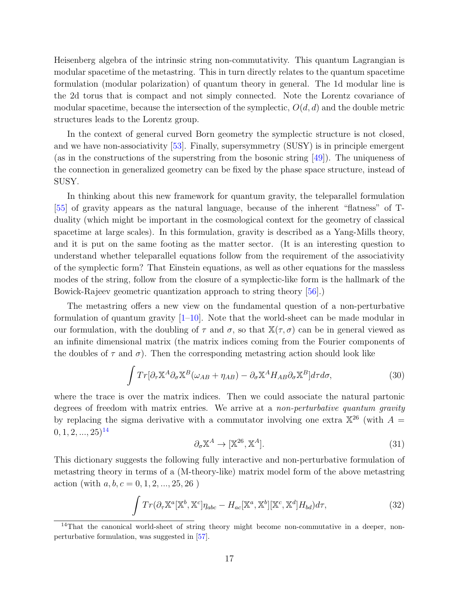Heisenberg algebra of the intrinsic string non-commutativity. This quantum Lagrangian is modular spacetime of the metastring. This in turn directly relates to the quantum spacetime formulation (modular polarization) of quantum theory in general. The 1d modular line is the 2d torus that is compact and not simply connected. Note the Lorentz covariance of modular spacetime, because the intersection of the symplectic,  $O(d, d)$  and the double metric structures leads to the Lorentz group.

In the context of general curved Born geometry the symplectic structure is not closed, and we have non-associativity [\[53\]](#page-31-15). Finally, supersymmetry (SUSY) is in principle emergent (as in the constructions of the superstring from the bosonic string [\[49\]](#page-31-11)). The uniqueness of the connection in generalized geometry can be fixed by the phase space structure, instead of SUSY.

In thinking about this new framework for quantum gravity, the teleparallel formulation [\[55\]](#page-31-17) of gravity appears as the natural language, because of the inherent "flatness" of Tduality (which might be important in the cosmological context for the geometry of classical spacetime at large scales). In this formulation, gravity is described as a Yang-Mills theory, and it is put on the same footing as the matter sector. (It is an interesting question to understand whether teleparallel equations follow from the requirement of the associativity of the symplectic form? That Einstein equations, as well as other equations for the massless modes of the string, follow from the closure of a symplectic-like form is the hallmark of the Bowick-Rajeev geometric quantization approach to string theory [\[56\]](#page-32-0).)

The metastring offers a new view on the fundamental question of a non-perturbative formulation of quantum gravity  $[1-10]$ . Note that the world-sheet can be made modular in our formulation, with the doubling of  $\tau$  and  $\sigma$ , so that  $\mathbb{X}(\tau,\sigma)$  can be in general viewed as an infinite dimensional matrix (the matrix indices coming from the Fourier components of the doubles of  $\tau$  and  $\sigma$ ). Then the corresponding metastring action should look like

$$
\int Tr[\partial_{\tau} \mathbb{X}^{A} \partial_{\sigma} \mathbb{X}^{B}(\omega_{AB} + \eta_{AB}) - \partial_{\sigma} \mathbb{X}^{A} H_{AB} \partial_{\sigma} \mathbb{X}^{B}] d\tau d\sigma, \tag{30}
$$

where the trace is over the matrix indices. Then we could associate the natural partonic degrees of freedom with matrix entries. We arrive at a non-perturbative quantum gravity by replacing the sigma derivative with a commutator involving one extra  $\mathbb{X}^{26}$  (with  $A =$  $(0, 1, 2, \ldots, 25)^{14}$  $(0, 1, 2, \ldots, 25)^{14}$  $(0, 1, 2, \ldots, 25)^{14}$ 

$$
\partial_{\sigma} \mathbb{X}^A \to [\mathbb{X}^{26}, \mathbb{X}^A]. \tag{31}
$$

This dictionary suggests the following fully interactive and non-perturbative formulation of metastring theory in terms of a (M-theory-like) matrix model form of the above metastring action (with  $a, b, c = 0, 1, 2, ..., 25, 26$ )

$$
\int Tr(\partial_{\tau} \mathbb{X}^{a}[\mathbb{X}^{b}, \mathbb{X}^{c}] \eta_{abc} - H_{ac}[\mathbb{X}^{a}, \mathbb{X}^{b}][\mathbb{X}^{c}, \mathbb{X}^{d}] H_{bd}) d\tau, \tag{32}
$$

<span id="page-16-0"></span><sup>&</sup>lt;sup>14</sup>That the canonical world-sheet of string theory might become non-commutative in a deeper, nonperturbative formulation, was suggested in [\[57\]](#page-32-1).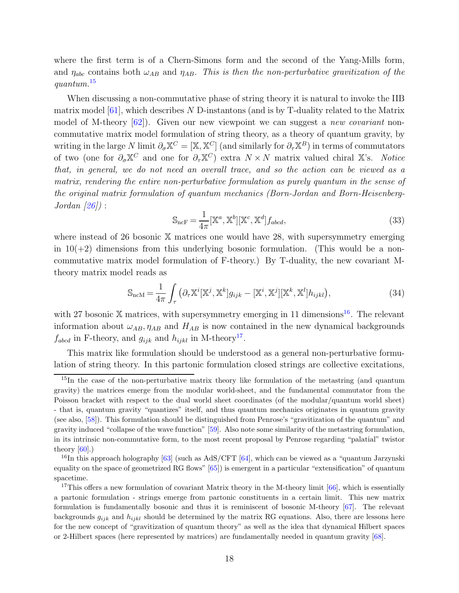where the first term is of a Chern-Simons form and the second of the Yang-Mills form, and  $\eta_{abc}$  contains both  $\omega_{AB}$  and  $\eta_{AB}$ . This is then the non-perturbative gravitization of the quantum.[15](#page-17-0)

When discussing a non-commutative phase of string theory it is natural to invoke the IIB matrix model  $[61]$ , which describes N D-instantons (and is by T-duality related to the Matrix model of M-theory  $[62]$ . Given our new viewpoint we can suggest a *new covariant* noncommutative matrix model formulation of string theory, as a theory of quantum gravity, by writing in the large N limit  $\partial_{\sigma} X^C = [X, X^C]$  (and similarly for  $\partial_{\tau} X^B$ ) in terms of commutators of two (one for  $\partial_{\sigma} \mathbb{X}^C$  and one for  $\partial_{\tau} \mathbb{X}^C$ ) extra  $N \times N$  matrix valued chiral X's. Notice that, in general, we do not need an overall trace, and so the action can be viewed as a matrix, rendering the entire non-perturbative formulation as purely quantum in the sense of the original matrix formulation of quantum mechanics (Born-Jordan and Born-Heisenberg- $Jordan (26)$ :

$$
\mathbb{S}_{\text{ncF}} = \frac{1}{4\pi} [\mathbb{X}^a, \mathbb{X}^b] [\mathbb{X}^c, \mathbb{X}^d] f_{abcd},\tag{33}
$$

where instead of 26 bosonic X matrices one would have 28, with supersymmetry emerging in  $10(+2)$  dimensions from this underlying bosonic formulation. (This would be a noncommutative matrix model formulation of F-theory.) By T-duality, the new covariant Mtheory matrix model reads as

$$
\mathbb{S}_{\text{ncM}} = \frac{1}{4\pi} \int_{\tau} \left( \partial_{\tau} \mathbb{X}^i [\mathbb{X}^j, \mathbb{X}^k] g_{ijk} - [\mathbb{X}^i, \mathbb{X}^j] [\mathbb{X}^k, \mathbb{X}^l] h_{ijkl} \right),\tag{34}
$$

with 27 bosonic X matrices, with supersymmetry emerging in 11 dimensions<sup>[16](#page-17-1)</sup>. The relevant information about  $\omega_{AB}$ ,  $\eta_{AB}$  and  $H_{AB}$  is now contained in the new dynamical backgrounds  $f_{abcd}$  in F-theory, and  $g_{ijk}$  and  $h_{ijkl}$  in M-theory<sup>[17](#page-17-2)</sup>.

This matrix like formulation should be understood as a general non-perturbative formulation of string theory. In this partonic formulation closed strings are collective excitations,

<span id="page-17-0"></span><sup>&</sup>lt;sup>15</sup>In the case of the non-perturbative matrix theory like formulation of the metastring (and quantum gravity) the matrices emerge from the modular world-sheet, and the fundamental commutator from the Poisson bracket with respect to the dual world sheet coordinates (of the modular/quantum world sheet) - that is, quantum gravity "quantizes" itself, and thus quantum mechanics originates in quantum gravity (see also, [\[58\]](#page-32-4)). This formulation should be distinguished from Penrose's "gravitization of the quantum" and gravity induced "collapse of the wave function" [\[59\]](#page-32-5). Also note some similarity of the metastring formulation, in its intrinsic non-commutative form, to the most recent proposal by Penrose regarding "palatial" twistor theory  $[60]$ .)

<span id="page-17-1"></span><sup>&</sup>lt;sup>16</sup>In this approach holography [\[63\]](#page-32-7) (such as AdS/CFT [\[64\]](#page-32-8), which can be viewed as a "quantum Jarzynski" equality on the space of geometrized RG flows" [\[65\]](#page-32-9)) is emergent in a particular "extensification" of quantum spacetime.

<span id="page-17-2"></span><sup>&</sup>lt;sup>17</sup>This offers a new formulation of covariant Matrix theory in the M-theory limit  $[66]$ , which is essentially a partonic formulation - strings emerge from partonic constituents in a certain limit. This new matrix formulation is fundamentally bosonic and thus it is reminiscent of bosonic M-theory [\[67\]](#page-32-11). The relevant backgrounds  $g_{ijk}$  and  $h_{ijkl}$  should be determined by the matrix RG equations. Also, there are lessons here for the new concept of "gravitization of quantum theory" as well as the idea that dynamical Hilbert spaces or 2-Hilbert spaces (here represented by matrices) are fundamentally needed in quantum gravity [\[68\]](#page-32-12).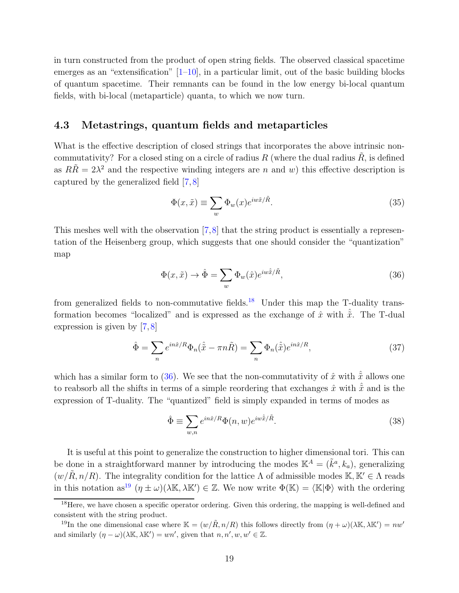in turn constructed from the product of open string fields. The observed classical spacetime emerges as an "extensification"  $[1-10]$ , in a particular limit, out of the basic building blocks of quantum spacetime. Their remnants can be found in the low energy bi-local quantum fields, with bi-local (metaparticle) quanta, to which we now turn.

#### 4.3 Metastrings, quantum fields and metaparticles

What is the effective description of closed strings that incorporates the above intrinsic noncommutativity? For a closed sting on a circle of radius R (where the dual radius  $\tilde{R}$ , is defined as  $R\tilde{R} = 2\lambda^2$  and the respective winding integers are n and w) this effective description is captured by the generalized field [\[7,](#page-29-18) [8\]](#page-29-9)

$$
\Phi(x,\tilde{x}) \equiv \sum_{w} \Phi_{w}(x) e^{iw\tilde{x}/\tilde{R}}.
$$
\n(35)

This meshes well with the observation [\[7,](#page-29-18)[8\]](#page-29-9) that the string product is essentially a representation of the Heisenberg group, which suggests that one should consider the "quantization" map

<span id="page-18-1"></span>
$$
\Phi(x,\tilde{x}) \to \hat{\Phi} = \sum_{w} \Phi_{w}(\hat{x}) e^{iw\hat{x}/\tilde{R}}, \tag{36}
$$

from generalized fields to non-commutative fields.<sup>[18](#page-18-0)</sup> Under this map the T-duality transformation becomes "localized" and is expressed as the exchange of  $\hat{x}$  with  $\hat{\tilde{x}}$ . The T-dual expression is given by [\[7,](#page-29-18) [8\]](#page-29-9)

$$
\hat{\Phi} = \sum_{n} e^{in\hat{x}/R} \Phi_n(\hat{\tilde{x}} - \pi n \tilde{R}) = \sum_{n} \Phi_n(\hat{\tilde{x}}) e^{in\hat{x}/R},\tag{37}
$$

which has a similar form to [\(36\)](#page-18-1). We see that the non-commutativity of  $\hat{x}$  with  $\hat{\tilde{x}}$  allows one to reabsorb all the shifts in terms of a simple reordering that exchanges  $\hat{x}$  with  $\hat{\tilde{x}}$  and is the expression of T-duality. The "quantized" field is simply expanded in terms of modes as

$$
\hat{\Phi} \equiv \sum_{w,n} e^{in\hat{x}/R} \Phi(n, w) e^{iw\hat{x}/\tilde{R}}.
$$
\n(38)

It is useful at this point to generalize the construction to higher dimensional tori. This can be done in a straightforward manner by introducing the modes  $\mathbb{K}^{A} = (\tilde{k}^{a}, k_{a})$ , generalizing  $(w/\tilde{R}, n/R)$ . The integrality condition for the lattice  $\Lambda$  of admissible modes K, K'  $\in \Lambda$  reads in this notation as<sup>[19](#page-18-2)</sup>  $(\eta \pm \omega)(\lambda \mathbb{K}, \lambda \mathbb{K}') \in \mathbb{Z}$ . We now write  $\Phi(\mathbb{K}) = \langle \mathbb{K} | \Phi \rangle$  with the ordering

<span id="page-18-0"></span><sup>&</sup>lt;sup>18</sup>Here, we have chosen a specific operator ordering. Given this ordering, the mapping is well-defined and consistent with the string product.

<span id="page-18-2"></span><sup>&</sup>lt;sup>19</sup>In the one dimensional case where  $\mathbb{K} = (w/\tilde{R}, n/R)$  this follows directly from  $(\eta + \omega)(\lambda \mathbb{K}, \lambda \mathbb{K}') = nw'$ and similarly  $(\eta - \omega)(\lambda \mathbb{K}, \lambda \mathbb{K}') = wn'$ , given that  $n, n', w, w' \in \mathbb{Z}$ .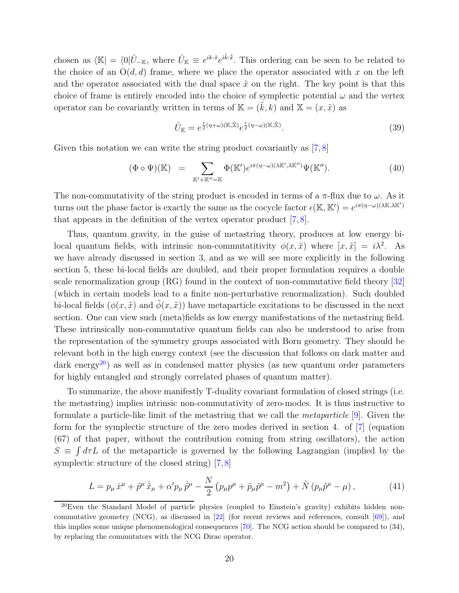chosen as  $\langle \mathbb{K} | = \langle 0 | \hat{U}_{-\mathbb{K}}$ , where  $\hat{U}_{\mathbb{K}} \equiv e^{ik\cdot\hat{x}} e^{i\tilde{k}\cdot\hat{\tilde{x}}}$ . This ordering can be seen to be related to the choice of an  $O(d, d)$  frame, where we place the operator associated with x on the left and the operator associated with the dual space  $\tilde{x}$  on the right. The key point is that this choice of frame is entirely encoded into the choice of symplectic potential  $\omega$  and the vertex operator can be covariantly written in terms of  $\mathbb{K} = (k, k)$  and  $\mathbb{X} = (x, \tilde{x})$  as

$$
\hat{U}_{\mathbb{K}} = e^{\frac{i}{2}(\eta + \omega)(\mathbb{K}, \hat{\mathbb{X}})} e^{\frac{i}{2}(\eta - \omega)(\mathbb{K}, \hat{\mathbb{X}})}.
$$
\n(39)

Given this notation we can write the string product covariantly as  $[7, 8]$  $[7, 8]$ 

$$
(\Phi \circ \Psi)(\mathbb{K}) = \sum_{\mathbb{K}' + \mathbb{K}'' = \mathbb{K}} \Phi(\mathbb{K}') e^{i\pi(\eta - \omega)(\lambda \mathbb{K}', \lambda \mathbb{K}'')} \Psi(\mathbb{K}''). \tag{40}
$$

The non-commutativity of the string product is encoded in terms of a  $\pi$ -flux due to  $\omega$ . As it turns out the phase factor is exactly the same as the cocycle factor  $\epsilon(\mathbb{K}, \mathbb{K}') = e^{i\pi(\eta - \omega)(\lambda \mathbb{K}, \lambda \mathbb{K}')}$ that appears in the definition of the vertex operator product [\[7,](#page-29-18) [8\]](#page-29-9).

Thus, quantum gravity, in the guise of metastring theory, produces at low energy bilocal quantum fields, with intrinsic non-commutatitivity  $\phi(x, \tilde{x})$  where  $[x, \tilde{x}] = i\lambda^2$ . As we have already discussed in section 3, and as we will see more explicitly in the following section 5, these bi-local fields are doubled, and their proper formulation requires a double scale renormalization group (RG) found in the context of non-commutative field theory [\[32\]](#page-30-10) (which in certain models lead to a finite non-perturbative renormalization). Such doubled bi-local fields  $(\phi(x, \tilde{x})$  and  $\phi(x, \tilde{x}))$  have metaparticle excitations to be discussed in the next section. One can view such (meta)fields as low energy manifestations of the metastring field. These intrinsically non-commutative quantum fields can also be understood to arise from the representation of the symmetry groups associated with Born geometry. They should be relevant both in the high energy context (see the discussion that follows on dark matter and dark energy<sup>[20](#page-19-0)</sup>) as well as in condensed matter physics (as new quantum order parameters for highly entangled and strongly correlated phases of quantum matter).

To summarize, the above manifestly T-duality covariant formulation of closed strings (i.e. the metastring) implies intrinsic non-commutativity of zero-modes. It is thus instructive to formulate a particle-like limit of the metastring that we call the metaparticle [\[9\]](#page-29-10). Given the form for the symplectic structure of the zero modes derived in section 4. of [\[7\]](#page-29-18) (equation (67) of that paper, without the contribution coming from string oscillators), the action  $S \equiv \int d\tau L$  of the metaparticle is governed by the following Lagrangian (implied by the symplectic structure of the closed string) [\[7,](#page-29-18) [8\]](#page-29-9)

$$
L = p_{\mu}\,\dot{x}^{\mu} + \tilde{p}^{\mu}\,\dot{\tilde{x}}_{\mu} + \alpha' p_{\mu}\,\dot{\tilde{p}}^{\mu} - \frac{N}{2}\left(p_{\mu}p^{\mu} + \tilde{p}_{\mu}\tilde{p}^{\mu} - m^{2}\right) + \tilde{N}\left(p_{\mu}\tilde{p}^{\mu} - \mu\right),\tag{41}
$$

<span id="page-19-0"></span> $^{20}$ Even the Standard Model of particle physics (coupled to Einstein's gravity) exhibits hidden noncommutative geometry (NCG), as discussed in [\[22\]](#page-30-0) (for recent reviews and references, consult [\[69\]](#page-32-13)), and this implies some unique phenomenological consequences [\[70\]](#page-32-14). The NCG action should be compared to (34), by replacing the commutators with the NCG Dirac operator.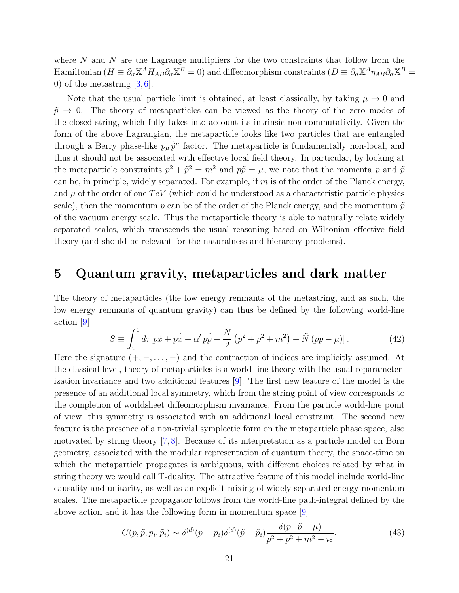where  $N$  and  $\tilde{N}$  are the Lagrange multipliers for the two constraints that follow from the Hamiltonian ( $H \equiv \partial_{\sigma} \mathbb{X}^{A} H_{AB} \partial_{\sigma} \mathbb{X}^{B} = 0$ ) and diffeomorphism constraints ( $D \equiv \partial_{\sigma} \mathbb{X}^{A} \eta_{AB} \partial_{\sigma} \mathbb{X}^{B} = 0$ 0) of the metastring  $[3, 6]$  $[3, 6]$ .

Note that the usual particle limit is obtained, at least classically, by taking  $\mu \to 0$  and  $\tilde{p} \rightarrow 0$ . The theory of metaparticles can be viewed as the theory of the zero modes of the closed string, which fully takes into account its intrinsic non-commutativity. Given the form of the above Lagrangian, the metaparticle looks like two particles that are entangled through a Berry phase-like  $p_{\mu} \dot{\bar{p}}^{\mu}$  factor. The metaparticle is fundamentally non-local, and thus it should not be associated with effective local field theory. In particular, by looking at the metaparticle constraints  $p^2 + \tilde{p}^2 = m^2$  and  $p\tilde{p} = \mu$ , we note that the momenta p and  $\tilde{p}$ can be, in principle, widely separated. For example, if  $m$  is of the order of the Planck energy, and  $\mu$  of the order of one TeV (which could be understood as a characteristic particle physics scale), then the momentum p can be of the order of the Planck energy, and the momentum  $\tilde{p}$ of the vacuum energy scale. Thus the metaparticle theory is able to naturally relate widely separated scales, which transcends the usual reasoning based on Wilsonian effective field theory (and should be relevant for the naturalness and hierarchy problems).

## 5 Quantum gravity, metaparticles and dark matter

The theory of metaparticles (the low energy remnants of the metastring, and as such, the low energy remnants of quantum gravity) can thus be defined by the following world-line action [\[9\]](#page-29-10)

$$
S \equiv \int_0^1 d\tau [p\dot{x} + \tilde{p}\dot{\tilde{x}} + \alpha' p\dot{\tilde{p}} - \frac{N}{2} (p^2 + \tilde{p}^2 + m^2) + \tilde{N} (p\tilde{p} - \mu)]. \tag{42}
$$

Here the signature  $(+, -, \ldots, -)$  and the contraction of indices are implicitly assumed. At the classical level, theory of metaparticles is a world-line theory with the usual reparameterization invariance and two additional features [\[9\]](#page-29-10). The first new feature of the model is the presence of an additional local symmetry, which from the string point of view corresponds to the completion of worldsheet diffeomorphism invariance. From the particle world-line point of view, this symmetry is associated with an additional local constraint. The second new feature is the presence of a non-trivial symplectic form on the metaparticle phase space, also motivated by string theory [\[7,](#page-29-18) [8\]](#page-29-9). Because of its interpretation as a particle model on Born geometry, associated with the modular representation of quantum theory, the space-time on which the metaparticle propagates is ambiguous, with different choices related by what in string theory we would call T-duality. The attractive feature of this model include world-line causality and unitarity, as well as an explicit mixing of widely separated energy-momentum scales. The metaparticle propagator follows from the world-line path-integral defined by the above action and it has the following form in momentum space [\[9\]](#page-29-10)

$$
G(p,\tilde{p};p_i,\tilde{p}_i) \sim \delta^{(d)}(p-p_i)\delta^{(d)}(\tilde{p}-\tilde{p}_i)\frac{\delta(p\cdot\tilde{p}-\mu)}{p^2+\tilde{p}^2+m^2-i\varepsilon}.\tag{43}
$$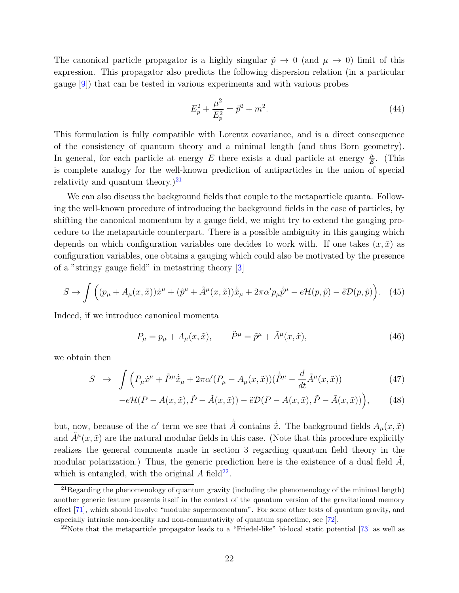The canonical particle propagator is a highly singular  $\tilde{p} \to 0$  (and  $\mu \to 0$ ) limit of this expression. This propagator also predicts the following dispersion relation (in a particular gauge [\[9\]](#page-29-10)) that can be tested in various experiments and with various probes

$$
E_p^2 + \frac{\mu^2}{E_p^2} = \vec{p}^2 + m^2.
$$
\n(44)

This formulation is fully compatible with Lorentz covariance, and is a direct consequence of the consistency of quantum theory and a minimal length (and thus Born geometry). In general, for each particle at energy E there exists a dual particle at energy  $\frac{\mu}{E}$ . (This is complete analogy for the well-known prediction of antiparticles in the union of special relativity and quantum theory.) $^{21}$  $^{21}$  $^{21}$ 

We can also discuss the background fields that couple to the metaparticle quanta. Following the well-known procedure of introducing the background fields in the case of particles, by shifting the canonical momentum by a gauge field, we might try to extend the gauging procedure to the metaparticle counterpart. There is a possible ambiguity in this gauging which depends on which configuration variables one decides to work with. If one takes  $(x, \tilde{x})$  as configuration variables, one obtains a gauging which could also be motivated by the presence of a "stringy gauge field" in metastring theory [\[3\]](#page-29-7)

$$
S \to \int \left( (p_{\mu} + A_{\mu}(x, \tilde{x})) \dot{x}^{\mu} + (\tilde{p}^{\mu} + \tilde{A}^{\mu}(x, \tilde{x})) \dot{\tilde{x}}_{\mu} + 2\pi \alpha' p_{\mu} \dot{\tilde{p}}^{\mu} - e \mathcal{H}(p, \tilde{p}) - \tilde{e} \mathcal{D}(p, \tilde{p}) \right). \tag{45}
$$

Indeed, if we introduce canonical momenta

$$
P_{\mu} = p_{\mu} + A_{\mu}(x, \tilde{x}), \qquad \tilde{P}^{\mu} = \tilde{p}^{\mu} + \tilde{A}^{\mu}(x, \tilde{x}), \qquad (46)
$$

we obtain then

$$
S \rightarrow \int \left( P_{\mu} \dot{x}^{\mu} + \tilde{P}^{\mu} \dot{\tilde{x}}_{\mu} + 2\pi \alpha' (P_{\mu} - A_{\mu}(x, \tilde{x})) (\dot{\tilde{P}}^{\mu} - \frac{d}{dt} \tilde{A}^{\mu}(x, \tilde{x})) \right)
$$
(47)

$$
-e\mathcal{H}(P - A(x,\tilde{x}), \tilde{P} - \tilde{A}(x,\tilde{x})) - \tilde{e}\mathcal{D}(P - A(x,\tilde{x}), \tilde{P} - \tilde{A}(x,\tilde{x}))\Big),\tag{48}
$$

but, now, because of the  $\alpha'$  term we see that  $\dot{\tilde{A}}$  contains  $\dot{\tilde{x}}$ . The background fields  $A_{\mu}(x, \tilde{x})$ and  $\tilde{A}^{\mu}(x, \tilde{x})$  are the natural modular fields in this case. (Note that this procedure explicitly realizes the general comments made in section 3 regarding quantum field theory in the modular polarization.) Thus, the generic prediction here is the existence of a dual field  $A$ , which is entangled, with the original  $A$  field<sup>[22](#page-21-1)</sup>.

<span id="page-21-0"></span> $^{21}$ Regarding the phenomenology of quantum gravity (including the phenomenology of the minimal length) another generic feature presents itself in the context of the quantum version of the gravitational memory effect [\[71\]](#page-32-15), which should involve "modular supermomentum". For some other tests of quantum gravity, and especially intrinsic non-locality and non-commutativity of quantum spacetime, see [\[72\]](#page-33-0).

<span id="page-21-1"></span><sup>&</sup>lt;sup>22</sup>Note that the metaparticle propagator leads to a "Friedel-like" bi-local static potential [\[73\]](#page-33-1) as well as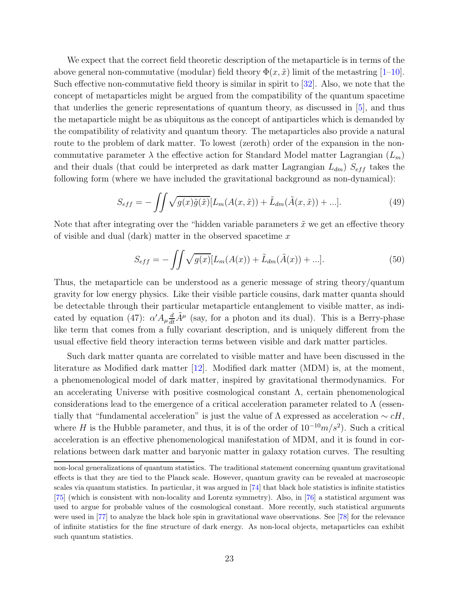We expect that the correct field theoretic description of the metaparticle is in terms of the above general non-commutative (modular) field theory  $\Phi(x, \tilde{x})$  limit of the metastring [\[1–](#page-28-0)[10\]](#page-29-0). Such effective non-commutative field theory is similar in spirit to [\[32\]](#page-30-10). Also, we note that the concept of metaparticles might be argued from the compatibility of the quantum spacetime that underlies the generic representations of quantum theory, as discussed in [\[5\]](#page-29-5), and thus the metaparticle might be as ubiquitous as the concept of antiparticles which is demanded by the compatibility of relativity and quantum theory. The metaparticles also provide a natural route to the problem of dark matter. To lowest (zeroth) order of the expansion in the noncommutative parameter  $\lambda$  the effective action for Standard Model matter Lagrangian  $(L_m)$ and their duals (that could be interpreted as dark matter Lagrangian  $L_{dm}$ )  $S_{eff}$  takes the following form (where we have included the gravitational background as non-dynamical):

$$
S_{eff} = -\iint \sqrt{g(x)\tilde{g}(\tilde{x})} [L_m(A(x,\tilde{x})) + \tilde{L}_{dm}(\tilde{A}(x,\tilde{x})) + \ldots]. \tag{49}
$$

Note that after integrating over the "hidden variable parameters  $\tilde{x}$  we get an effective theory of visible and dual (dark) matter in the observed spacetime  $x$ 

$$
S_{eff} = -\iint \sqrt{g(x)} [L_m(A(x)) + \tilde{L}_{dm}(\tilde{A}(x)) + ...]. \tag{50}
$$

Thus, the metaparticle can be understood as a generic message of string theory/quantum gravity for low energy physics. Like their visible particle cousins, dark matter quanta should be detectable through their particular metaparticle entanglement to visible matter, as indicated by equation (47):  $\alpha' A_\mu \frac{d}{dt} \tilde{A}^\mu$  (say, for a photon and its dual). This is a Berry-phase like term that comes from a fully covariant description, and is uniquely different from the usual effective field theory interaction terms between visible and dark matter particles.

Such dark matter quanta are correlated to visible matter and have been discussed in the literature as Modified dark matter [\[12\]](#page-29-2). Modified dark matter (MDM) is, at the moment, a phenomenological model of dark matter, inspired by gravitational thermodynamics. For an accelerating Universe with positive cosmological constant Λ, certain phenomenological considerations lead to the emergence of a critical acceleration parameter related to  $\Lambda$  (essentially that "fundamental acceleration" is just the value of  $\Lambda$  expressed as acceleration ~  $cH$ , where H is the Hubble parameter, and thus, it is of the order of  $10^{-10}m/s^2$ ). Such a critical acceleration is an effective phenomenological manifestation of MDM, and it is found in correlations between dark matter and baryonic matter in galaxy rotation curves. The resulting

non-local generalizations of quantum statistics. The traditional statement concerning quantum gravitational effects is that they are tied to the Planck scale. However, quantum gravity can be revealed at macroscopic scales via quantum statistics. In particular, it was argued in [\[74\]](#page-33-2) that black hole statistics is infinite statistics [\[75\]](#page-33-3) (which is consistent with non-locality and Lorentz symmetry). Also, in [\[76\]](#page-33-4) a statistical argument was used to argue for probable values of the cosmological constant. More recently, such statistical arguments were used in [\[77\]](#page-33-5) to analyze the black hole spin in gravitational wave observations. See [\[78\]](#page-33-6) for the relevance of infinite statistics for the fine structure of dark energy. As non-local objects, metaparticles can exhibit such quantum statistics.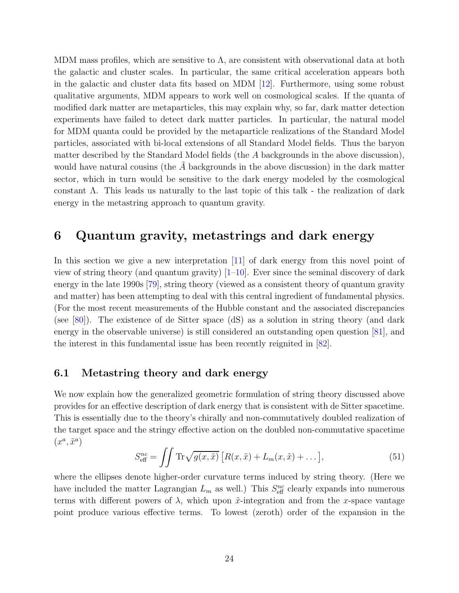MDM mass profiles, which are sensitive to  $\Lambda$ , are consistent with observational data at both the galactic and cluster scales. In particular, the same critical acceleration appears both in the galactic and cluster data fits based on MDM [\[12\]](#page-29-2). Furthermore, using some robust qualitative arguments, MDM appears to work well on cosmological scales. If the quanta of modified dark matter are metaparticles, this may explain why, so far, dark matter detection experiments have failed to detect dark matter particles. In particular, the natural model for MDM quanta could be provided by the metaparticle realizations of the Standard Model particles, associated with bi-local extensions of all Standard Model fields. Thus the baryon matter described by the Standard Model fields (the A backgrounds in the above discussion), would have natural cousins (the  $A$  backgrounds in the above discussion) in the dark matter sector, which in turn would be sensitive to the dark energy modeled by the cosmological constant Λ. This leads us naturally to the last topic of this talk - the realization of dark energy in the metastring approach to quantum gravity.

## 6 Quantum gravity, metastrings and dark energy

In this section we give a new interpretation [\[11\]](#page-29-1) of dark energy from this novel point of view of string theory (and quantum gravity)  $[1-10]$ . Ever since the seminal discovery of dark energy in the late 1990s [\[79\]](#page-33-7), string theory (viewed as a consistent theory of quantum gravity and matter) has been attempting to deal with this central ingredient of fundamental physics. (For the most recent measurements of the Hubble constant and the associated discrepancies (see [\[80\]](#page-33-8)). The existence of de Sitter space (dS) as a solution in string theory (and dark energy in the observable universe) is still considered an outstanding open question [\[81\]](#page-33-9), and the interest in this fundamental issue has been recently reignited in [\[82\]](#page-33-10).

#### 6.1 Metastring theory and dark energy

We now explain how the generalized geometric formulation of string theory discussed above provides for an effective description of dark energy that is consistent with de Sitter spacetime. This is essentially due to the theory's chirally and non-commutatively doubled realization of the target space and the stringy effective action on the doubled non-commutative spacetime  $(x^a, \tilde{x}^a)$ 

$$
S_{\text{eff}}^{nc} = \iint \text{Tr}\sqrt{g(x,\tilde{x})} \left[ R(x,\tilde{x}) + L_m(x,\tilde{x}) + \dots \right],\tag{51}
$$

<span id="page-23-0"></span>where the ellipses denote higher-order curvature terms induced by string theory. (Here we have included the matter Lagrangian  $L_m$  as well.) This  $S_{\text{eff}}^{nc}$  clearly expands into numerous terms with different powers of  $\lambda$ , which upon  $\tilde{x}$ -integration and from the x-space vantage point produce various effective terms. To lowest (zeroth) order of the expansion in the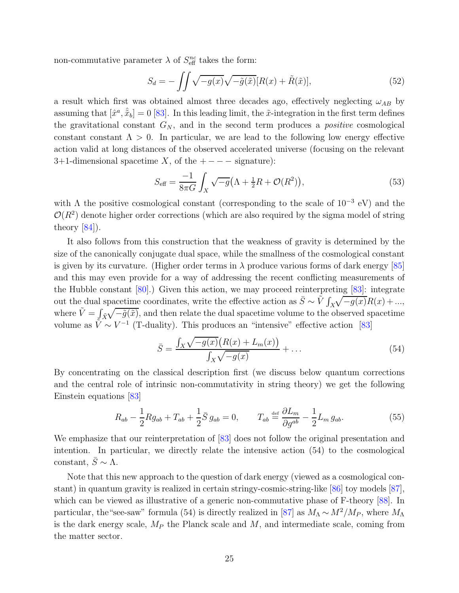non-commutative parameter  $\lambda$  of  $S_{\text{eff}}^{nc}$  takes the form:

$$
S_d = -\iint \sqrt{-g(x)} \sqrt{-\tilde{g}(\tilde{x})} [R(x) + \tilde{R}(\tilde{x})], \tag{52}
$$

a result which first was obtained almost three decades ago, effectively neglecting  $\omega_{AB}$  by assuming that  $[\hat{x}^a, \hat{\tilde{x}}_b] = 0$  [\[83\]](#page-33-11). In this leading limit, the  $\tilde{x}$ -integration in the first term defines the gravitational constant  $G_N$ , and in the second term produces a *positive* cosmological constant constant  $\Lambda > 0$ . In particular, we are lead to the following low energy effective action valid at long distances of the observed accelerated universe (focusing on the relevant 3+1-dimensional spacetime X, of the  $+ - - -$  signature):

$$
S_{\text{eff}} = \frac{-1}{8\pi G} \int_X \sqrt{-g} \left( \Lambda + \frac{1}{2} R + \mathcal{O}(R^2) \right),\tag{53}
$$

with  $\Lambda$  the positive cosmological constant (corresponding to the scale of  $10^{-3}$  eV) and the  $\mathcal{O}(R^2)$  denote higher order corrections (which are also required by the sigma model of string theory  $[84]$ .

It also follows from this construction that the weakness of gravity is determined by the size of the canonically conjugate dual space, while the smallness of the cosmological constant is given by its curvature. (Higher order terms in  $\lambda$  produce various forms of dark energy [\[85\]](#page-33-13) and this may even provide for a way of addressing the recent conflicting measurements of the Hubble constant [\[80\]](#page-33-8).) Given this action, we may proceed reinterpreting [\[83\]](#page-33-11): integrate out the dual spacetime coordinates, write the effective action as  $\bar{S} \sim \tilde{V} \int_X \sqrt{-g(x)} R(x) + ...$ where  $\tilde{V} = \int_{\tilde{X}} \sqrt{-\tilde{g}(\tilde{x})}$ , and then relate the dual spacetime volume to the observed spacetime volume as  $\tilde{V} \sim V^{-1}$  (T-duality). This produces an "intensive" effective action [\[83\]](#page-33-11)

$$
\bar{S} = \frac{\int_{X} \sqrt{-g(x)} \big( R(x) + L_m(x) \big)}{\int_{X} \sqrt{-g(x)}} + \dots \tag{54}
$$

By concentrating on the classical description first (we discuss below quantum corrections and the central role of intrinsic non-commutativity in string theory) we get the following Einstein equations [\[83\]](#page-33-11)

$$
R_{ab} - \frac{1}{2} R g_{ab} + T_{ab} + \frac{1}{2} \bar{S} g_{ab} = 0, \qquad T_{ab} \stackrel{\text{def}}{=} \frac{\partial L_m}{\partial g^{ab}} - \frac{1}{2} L_m g_{ab}.
$$
 (55)

We emphasize that our reinterpretation of [\[83\]](#page-33-11) does not follow the original presentation and intention. In particular, we directly relate the intensive action (54) to the cosmological constant,  $\bar{S} \sim \Lambda$ .

Note that this new approach to the question of dark energy (viewed as a cosmological constant) in quantum gravity is realized in certain stringy-cosmic-string-like [\[86\]](#page-33-14) toy models [\[87\]](#page-34-0), which can be viewed as illustrative of a generic non-commutative phase of F-theory [\[88\]](#page-34-1). In particular, the "see-saw" formula (54) is directly realized in [\[87\]](#page-34-0) as  $M_{\Lambda} \sim M^2/M_P$ , where  $M_{\Lambda}$ is the dark energy scale,  $M_P$  the Planck scale and  $M$ , and intermediate scale, coming from the matter sector.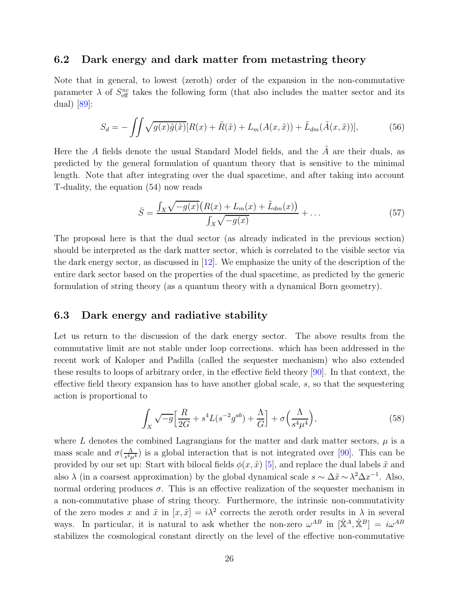#### 6.2 Dark energy and dark matter from metastring theory

Note that in general, to lowest (zeroth) order of the expansion in the non-commutative parameter  $\lambda$  of  $S_{\text{eff}}^{nc}$  takes the following form (that also includes the matter sector and its dual)  $|89|$ :

<span id="page-25-0"></span>
$$
S_d = -\iint \sqrt{g(x)\tilde{g}(\tilde{x})} [R(x) + \tilde{R}(\tilde{x}) + L_m(A(x,\tilde{x})) + \tilde{L}_{dm}(\tilde{A}(x,\tilde{x}))],\tag{56}
$$

Here the A fields denote the usual Standard Model fields, and the  $\tilde{A}$  are their duals, as predicted by the general formulation of quantum theory that is sensitive to the minimal length. Note that after integrating over the dual spacetime, and after taking into account T-duality, the equation (54) now reads

$$
\bar{S} = \frac{\int_{X} \sqrt{-g(x)} \big( R(x) + L_m(x) + \tilde{L}_{dm}(x) \big)}{\int_{X} \sqrt{-g(x)}} + \dots \tag{57}
$$

The proposal here is that the dual sector (as already indicated in the previous section) should be interpreted as the dark matter sector, which is correlated to the visible sector via the dark energy sector, as discussed in [\[12\]](#page-29-2). We emphasize the unity of the description of the entire dark sector based on the properties of the dual spacetime, as predicted by the generic formulation of string theory (as a quantum theory with a dynamical Born geometry).

#### 6.3 Dark energy and radiative stability

Let us return to the discussion of the dark energy sector. The above results from the commutative limit are not stable under loop corrections. which has been addressed in the recent work of Kaloper and Padilla (called the sequester mechanism) who also extended these results to loops of arbitrary order, in the effective field theory [\[90\]](#page-34-3). In that context, the effective field theory expansion has to have another global scale, s, so that the sequestering action is proportional to

$$
\int_X \sqrt{-g} \Big[ \frac{R}{2G} + s^4 L(s^{-2} g^{ab}) + \frac{\Lambda}{G} \Big] + \sigma \Big( \frac{\Lambda}{s^4 \mu^4} \Big),\tag{58}
$$

where L denotes the combined Lagrangians for the matter and dark matter sectors,  $\mu$  is a mass scale and  $\sigma(\frac{\Lambda}{s^4\mu})$  $\frac{\Lambda}{s^4\mu^4}$ ) is a global interaction that is not integrated over [\[90\]](#page-34-3). This can be provided by our set up: Start with bilocal fields  $\phi(x, \tilde{x})$  [\[5\]](#page-29-5), and replace the dual labels  $\tilde{x}$  and also  $\lambda$  (in a coarsest approximation) by the global dynamical scale  $s \sim \Delta \tilde{x} \sim \lambda^2 \Delta x^{-1}$ . Also, normal ordering produces  $\sigma$ . This is an effective realization of the sequester mechanism in a non-commutative phase of string theory. Furthermore, the intrinsic non-commutativity of the zero modes x and  $\tilde{x}$  in  $[x, \tilde{x}] = i\lambda^2$  corrects the zeroth order results in  $\lambda$  in several ways. In particular, it is natural to ask whether the non-zero  $\omega^{AB}$  in  $[\hat{X}^A, \hat{X}^B] = i\omega^{AB}$ stabilizes the cosmological constant directly on the level of the effective non-commutative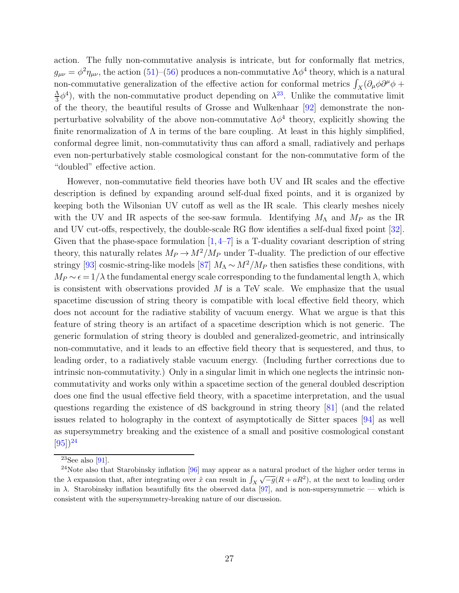action. The fully non-commutative analysis is intricate, but for conformally flat metrics,  $g_{\mu\nu} = \phi^2 \eta_{\mu\nu}$ , the action [\(51\)](#page-23-0)–[\(56\)](#page-25-0) produces a non-commutative  $\Lambda \phi^4$  theory, which is a natural non-commutative generalization of the effective action for conformal metrics  $\int_X(\partial_\mu\phi\partial^\mu\phi +$ Λ  $\frac{\Delta}{3}\phi^4$ , with the non-commutative product depending on  $\lambda^{23}$  $\lambda^{23}$  $\lambda^{23}$ . Unlike the commutative limit of the theory, the beautiful results of Grosse and Wulkenhaar [\[92\]](#page-34-4) demonstrate the nonperturbative solvability of the above non-commutative  $\Lambda \phi^4$  theory, explicitly showing the finite renormalization of  $\Lambda$  in terms of the bare coupling. At least in this highly simplified, conformal degree limit, non-commutativity thus can afford a small, radiatively and perhaps even non-perturbatively stable cosmological constant for the non-commutative form of the "doubled" effective action.

However, non-commutative field theories have both UV and IR scales and the effective description is defined by expanding around self-dual fixed points, and it is organized by keeping both the Wilsonian UV cutoff as well as the IR scale. This clearly meshes nicely with the UV and IR aspects of the see-saw formula. Identifying  $M_{\Lambda}$  and  $M_{P}$  as the IR and UV cut-offs, respectively, the double-scale RG flow identifies a self-dual fixed point [\[32\]](#page-30-10). Given that the phase-space formulation  $[1,4-7]$  $[1,4-7]$  is a T-duality covariant description of string theory, this naturally relates  $M_P \to M^2/M_P$  under T-duality. The prediction of our effective stringy [\[93\]](#page-34-5) cosmic-string-like models [\[87\]](#page-34-0)  $M_A \sim M^2/M_P$  then satisfies these conditions, with  $M_P \sim \epsilon = 1/\lambda$  the fundamental energy scale corresponding to the fundamental length  $\lambda$ , which is consistent with observations provided  $M$  is a TeV scale. We emphasize that the usual spacetime discussion of string theory is compatible with local effective field theory, which does not account for the radiative stability of vacuum energy. What we argue is that this feature of string theory is an artifact of a spacetime description which is not generic. The generic formulation of string theory is doubled and generalized-geometric, and intrinsically non-commutative, and it leads to an effective field theory that is sequestered, and thus, to leading order, to a radiatively stable vacuum energy. (Including further corrections due to intrinsic non-commutativity.) Only in a singular limit in which one neglects the intrinsic noncommutativity and works only within a spacetime section of the general doubled description does one find the usual effective field theory, with a spacetime interpretation, and the usual questions regarding the existence of dS background in string theory [\[81\]](#page-33-9) (and the related issues related to holography in the context of asymptotically de Sitter spaces [\[94\]](#page-34-6) as well as supersymmetry breaking and the existence of a small and positive cosmological constant  $[95]$ <sup>[24](#page-26-1)</sup>

<span id="page-26-0"></span><sup>&</sup>lt;sup>23</sup>See also [\[91\]](#page-34-8).

<span id="page-26-1"></span><sup>&</sup>lt;sup>24</sup>Note also that Starobinsky inflation [\[96\]](#page-34-9) may appear as a natural product of the higher order terms in the  $\lambda$  expansion that, after integrating over  $\tilde{x}$  can result in  $\int_X \sqrt{-g(R+aR^2)}$ , at the next to leading order in  $\lambda$ . Starobinsky inflation beautifully fits the observed data [\[97\]](#page-34-10), and is non-supersymmetric — which is consistent with the supersymmetry-breaking nature of our discussion.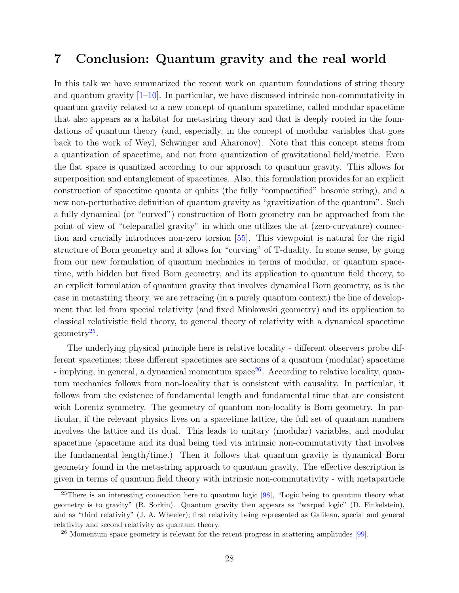## 7 Conclusion: Quantum gravity and the real world

In this talk we have summarized the recent work on quantum foundations of string theory and quantum gravity  $[1-10]$ . In particular, we have discussed intrinsic non-commutativity in quantum gravity related to a new concept of quantum spacetime, called modular spacetime that also appears as a habitat for metastring theory and that is deeply rooted in the foundations of quantum theory (and, especially, in the concept of modular variables that goes back to the work of Weyl, Schwinger and Aharonov). Note that this concept stems from a quantization of spacetime, and not from quantization of gravitational field/metric. Even the flat space is quantized according to our approach to quantum gravity. This allows for superposition and entanglement of spacetimes. Also, this formulation provides for an explicit construction of spacetime quanta or qubits (the fully "compactified" bosonic string), and a new non-perturbative definition of quantum gravity as "gravitization of the quantum". Such a fully dynamical (or "curved") construction of Born geometry can be approached from the point of view of "teleparallel gravity" in which one utilizes the at (zero-curvature) connection and crucially introduces non-zero torsion [\[55\]](#page-31-17). This viewpoint is natural for the rigid structure of Born geometry and it allows for "curving" of T-duality. In some sense, by going from our new formulation of quantum mechanics in terms of modular, or quantum spacetime, with hidden but fixed Born geometry, and its application to quantum field theory, to an explicit formulation of quantum gravity that involves dynamical Born geometry, as is the case in metastring theory, we are retracing (in a purely quantum context) the line of development that led from special relativity (and fixed Minkowski geometry) and its application to classical relativistic field theory, to general theory of relativity with a dynamical spacetime geometry<sup>[25](#page-27-0)</sup>.

The underlying physical principle here is relative locality - different observers probe different spacetimes; these different spacetimes are sections of a quantum (modular) spacetime - implying, in general, a dynamical momentum  $space^{26}$  $space^{26}$  $space^{26}$ . According to relative locality, quantum mechanics follows from non-locality that is consistent with causality. In particular, it follows from the existence of fundamental length and fundamental time that are consistent with Lorentz symmetry. The geometry of quantum non-locality is Born geometry. In particular, if the relevant physics lives on a spacetime lattice, the full set of quantum numbers involves the lattice and its dual. This leads to unitary (modular) variables, and modular spacetime (spacetime and its dual being tied via intrinsic non-commutativity that involves the fundamental length/time.) Then it follows that quantum gravity is dynamical Born geometry found in the metastring approach to quantum gravity. The effective description is given in terms of quantum field theory with intrinsic non-commutativity - with metaparticle

<span id="page-27-0"></span> $25$ There is an interesting connection here to quantum logic [\[98\]](#page-34-11), "Logic being to quantum theory what geometry is to gravity" (R. Sorkin). Quantum gravity then appears as "warped logic" (D. Finkelstein), and as "third relativity" (J. A. Wheeler); first relativity being represented as Galilean, special and general relativity and second relativity as quantum theory.

<span id="page-27-1"></span> $26$  Momentum space geometry is relevant for the recent progress in scattering amplitudes  $[99]$ .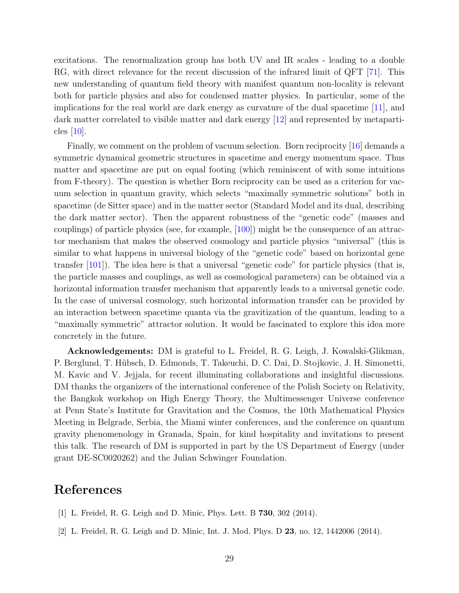excitations. The renormalization group has both UV and IR scales - leading to a double RG, with direct relevance for the recent discussion of the infrared limit of QFT [\[71\]](#page-32-15). This new understanding of quantum field theory with manifest quantum non-locality is relevant both for particle physics and also for condensed matter physics. In particular, some of the implications for the real world are dark energy as curvature of the dual spacetime [\[11\]](#page-29-1), and dark matter correlated to visible matter and dark energy [\[12\]](#page-29-2) and represented by metaparticles  $|10|$ .

Finally, we comment on the problem of vacuum selection. Born reciprocity [\[16\]](#page-29-12) demands a symmetric dynamical geometric structures in spacetime and energy momentum space. Thus matter and spacetime are put on equal footing (which reminiscent of with some intuitions from F-theory). The question is whether Born reciprocity can be used as a criterion for vacuum selection in quantum gravity, which selects "maximally symmetric solutions" both in spacetime (de Sitter space) and in the matter sector (Standard Model and its dual, describing the dark matter sector). Then the apparent robustness of the "genetic code" (masses and couplings) of particle physics (see, for example, [\[100\]](#page-34-13)) might be the consequence of an attractor mechanism that makes the observed cosmology and particle physics "universal" (this is similar to what happens in universal biology of the "genetic code" based on horizontal gene transfer [\[101\]](#page-34-14)). The idea here is that a universal "genetic code" for particle physics (that is, the particle masses and couplings, as well as cosmological parameters) can be obtained via a horizontal information transfer mechanism that apparently leads to a universal genetic code. In the case of universal cosmology, such horizontal information transfer can be provided by an interaction between spacetime quanta via the gravitization of the quantum, leading to a "maximally symmetric" attractor solution. It would be fascinated to explore this idea more concretely in the future.

Acknowledgements: DM is grateful to L. Freidel, R. G. Leigh, J. Kowalski-Glikman, P. Berglund, T. Hübsch, D. Edmonds, T. Takeuchi, D. C. Dai, D. Stojkovic, J. H. Simonetti, M. Kavic and V. Jejjala, for recent illuminating collaborations and insightful discussions. DM thanks the organizers of the international conference of the Polish Society on Relativity, the Bangkok workshop on High Energy Theory, the Multimessenger Universe conference at Penn State's Institute for Gravitation and the Cosmos, the 10th Mathematical Physics Meeting in Belgrade, Serbia, the Miami winter conferences, and the conference on quantum gravity phenomenology in Granada, Spain, for kind hospitality and invitations to present this talk. The research of DM is supported in part by the US Department of Energy (under grant DE-SC0020262) and the Julian Schwinger Foundation.

## <span id="page-28-0"></span>References

- <span id="page-28-1"></span>[1] L. Freidel, R. G. Leigh and D. Minic, Phys. Lett. B 730, 302 (2014).
- [2] L. Freidel, R. G. Leigh and D. Minic, Int. J. Mod. Phys. D 23, no. 12, 1442006 (2014).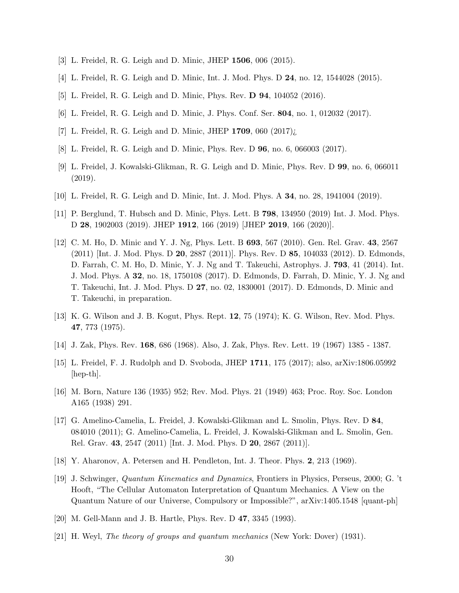- <span id="page-29-7"></span><span id="page-29-6"></span>[3] L. Freidel, R. G. Leigh and D. Minic, JHEP 1506, 006 (2015).
- <span id="page-29-5"></span>[4] L. Freidel, R. G. Leigh and D. Minic, Int. J. Mod. Phys. D 24, no. 12, 1544028 (2015).
- <span id="page-29-8"></span>[5] L. Freidel, R. G. Leigh and D. Minic, Phys. Rev. D 94, 104052 (2016).
- <span id="page-29-18"></span>[6] L. Freidel, R. G. Leigh and D. Minic, J. Phys. Conf. Ser. 804, no. 1, 012032 (2017).
- <span id="page-29-9"></span>[7] L. Freidel, R. G. Leigh and D. Minic, JHEP  $1709$ , 060  $(2017)$ *i*.
- <span id="page-29-10"></span>[8] L. Freidel, R. G. Leigh and D. Minic, Phys. Rev. D 96, no. 6, 066003 (2017).
- <span id="page-29-0"></span>[9] L. Freidel, J. Kowalski-Glikman, R. G. Leigh and D. Minic, Phys. Rev. D 99, no. 6, 066011 (2019).
- <span id="page-29-1"></span>[10] L. Freidel, R. G. Leigh and D. Minic, Int. J. Mod. Phys. A 34, no. 28, 1941004 (2019).
- <span id="page-29-2"></span>[11] P. Berglund, T. Hubsch and D. Minic, Phys. Lett. B 798, 134950 (2019) Int. J. Mod. Phys. D 28, 1902003 (2019). JHEP 1912, 166 (2019) [JHEP 2019, 166 (2020)].
- [12] C. M. Ho, D. Minic and Y. J. Ng, Phys. Lett. B 693, 567 (2010). Gen. Rel. Grav. 43, 2567 (2011) [Int. J. Mod. Phys. D 20, 2887 (2011)]. Phys. Rev. D 85, 104033 (2012). D. Edmonds, D. Farrah, C. M. Ho, D. Minic, Y. J. Ng and T. Takeuchi, Astrophys. J. 793, 41 (2014). Int. J. Mod. Phys. A 32, no. 18, 1750108 (2017). D. Edmonds, D. Farrah, D. Minic, Y. J. Ng and T. Takeuchi, Int. J. Mod. Phys. D 27, no. 02, 1830001 (2017). D. Edmonds, D. Minic and T. Takeuchi, in preparation.
- <span id="page-29-4"></span><span id="page-29-3"></span>[13] K. G. Wilson and J. B. Kogut, Phys. Rept. 12, 75 (1974); K. G. Wilson, Rev. Mod. Phys. 47, 773 (1975).
- <span id="page-29-11"></span>[14] J. Zak, Phys. Rev. 168, 686 (1968). Also, J. Zak, Phys. Rev. Lett. 19 (1967) 1385 - 1387.
- <span id="page-29-12"></span>[15] L. Freidel, F. J. Rudolph and D. Svoboda, JHEP 1711, 175 (2017); also, arXiv:1806.05992 [hep-th].
- <span id="page-29-13"></span>[16] M. Born, Nature 136 (1935) 952; Rev. Mod. Phys. 21 (1949) 463; Proc. Roy. Soc. London A165 (1938) 291.
- [17] G. Amelino-Camelia, L. Freidel, J. Kowalski-Glikman and L. Smolin, Phys. Rev. D 84, 084010 (2011); G. Amelino-Camelia, L. Freidel, J. Kowalski-Glikman and L. Smolin, Gen. Rel. Grav. 43, 2547 (2011) [Int. J. Mod. Phys. D 20, 2867 (2011)].
- <span id="page-29-15"></span><span id="page-29-14"></span>[18] Y. Aharonov, A. Petersen and H. Pendleton, Int. J. Theor. Phys. 2, 213 (1969).
- [19] J. Schwinger, *Quantum Kinematics and Dynamics*, Frontiers in Physics, Perseus, 2000; G. 't Hooft, "The Cellular Automaton Interpretation of Quantum Mechanics. A View on the Quantum Nature of our Universe, Compulsory or Impossible?", arXiv:1405.1548 [quant-ph]
- <span id="page-29-17"></span><span id="page-29-16"></span>[20] M. Gell-Mann and J. B. Hartle, Phys. Rev. D 47, 3345 (1993).
- [21] H. Weyl, *The theory of groups and quantum mechanics* (New York: Dover) (1931).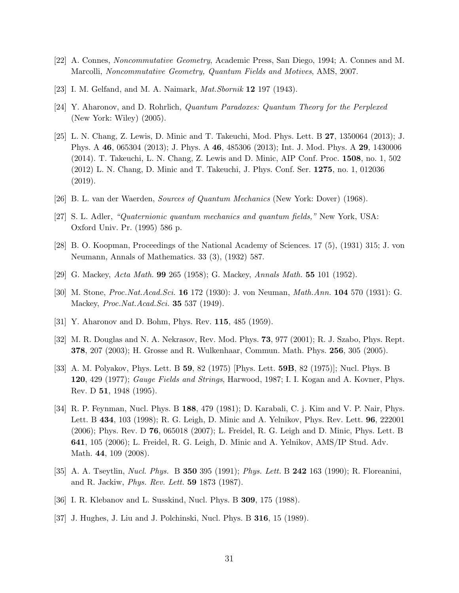- <span id="page-30-1"></span><span id="page-30-0"></span>[22] A. Connes, *Noncommutative Geometry*, Academic Press, San Diego, 1994; A. Connes and M. Marcolli, *Noncommutative Geometry, Quantum Fields and Motives*, AMS, 2007.
- <span id="page-30-2"></span>[23] I. M. Gelfand, and M. A. Naimark, *Mat.Sbornik* 12 197 (1943).
- <span id="page-30-3"></span>[24] Y. Aharonov, and D. Rohrlich, *Quantum Paradoxes: Quantum Theory for the Perplexed* (New York: Wiley) (2005).
- [25] L. N. Chang, Z. Lewis, D. Minic and T. Takeuchi, Mod. Phys. Lett. B 27, 1350064 (2013); J. Phys. A 46, 065304 (2013); J. Phys. A 46, 485306 (2013); Int. J. Mod. Phys. A 29, 1430006 (2014). T. Takeuchi, L. N. Chang, Z. Lewis and D. Minic, AIP Conf. Proc. 1508, no. 1, 502 (2012) L. N. Chang, D. Minic and T. Takeuchi, J. Phys. Conf. Ser. 1275, no. 1, 012036 (2019).
- <span id="page-30-5"></span><span id="page-30-4"></span>[26] B. L. van der Waerden, *Sources of Quantum Mechanics* (New York: Dover) (1968).
- <span id="page-30-6"></span>[27] S. L. Adler, *"Quaternionic quantum mechanics and quantum fields,"* New York, USA: Oxford Univ. Pr. (1995) 586 p.
- <span id="page-30-7"></span>[28] B. O. Koopman, Proceedings of the National Academy of Sciences. 17 (5), (1931) 315; J. von Neumann, Annals of Mathematics. 33 (3), (1932) 587.
- <span id="page-30-8"></span>[29] G. Mackey, *Acta Math.* 99 265 (1958); G. Mackey, *Annals Math.* 55 101 (1952).
- <span id="page-30-9"></span>[30] M. Stone, *Proc.Nat.Acad.Sci.* 16 172 (1930): J. von Neuman, *Math.Ann.* 104 570 (1931): G. Mackey, *Proc.Nat.Acad.Sci.* 35 537 (1949).
- <span id="page-30-10"></span>[31] Y. Aharonov and D. Bohm, Phys. Rev. **115**, 485 (1959).
- <span id="page-30-11"></span>[32] M. R. Douglas and N. A. Nekrasov, Rev. Mod. Phys. 73, 977 (2001); R. J. Szabo, Phys. Rept. 378, 207 (2003); H. Grosse and R. Wulkenhaar, Commun. Math. Phys. 256, 305 (2005).
- [33] A. M. Polyakov, Phys. Lett. B 59, 82 (1975) [Phys. Lett. 59B, 82 (1975)]; Nucl. Phys. B 120, 429 (1977); *Gauge Fields and Strings*, Harwood, 1987; I. I. Kogan and A. Kovner, Phys. Rev. D 51, 1948 (1995).
- <span id="page-30-12"></span>[34] R. P. Feynman, Nucl. Phys. B 188, 479 (1981); D. Karabali, C. j. Kim and V. P. Nair, Phys. Lett. B 434, 103 (1998); R. G. Leigh, D. Minic and A. Yelnikov, Phys. Rev. Lett. 96, 222001 (2006); Phys. Rev. D 76, 065018 (2007); L. Freidel, R. G. Leigh and D. Minic, Phys. Lett. B 641, 105 (2006); L. Freidel, R. G. Leigh, D. Minic and A. Yelnikov, AMS/IP Stud. Adv. Math. 44, 109 (2008).
- <span id="page-30-15"></span><span id="page-30-13"></span>[35] A. A. Tseytlin, *Nucl. Phys.* B 350 395 (1991); *Phys. Lett.* B 242 163 (1990); R. Floreanini, and R. Jackiw, *Phys. Rev. Lett.* 59 1873 (1987).
- <span id="page-30-14"></span>[36] I. R. Klebanov and L. Susskind, Nucl. Phys. B 309, 175 (1988).
- [37] J. Hughes, J. Liu and J. Polchinski, Nucl. Phys. B **316**, 15 (1989).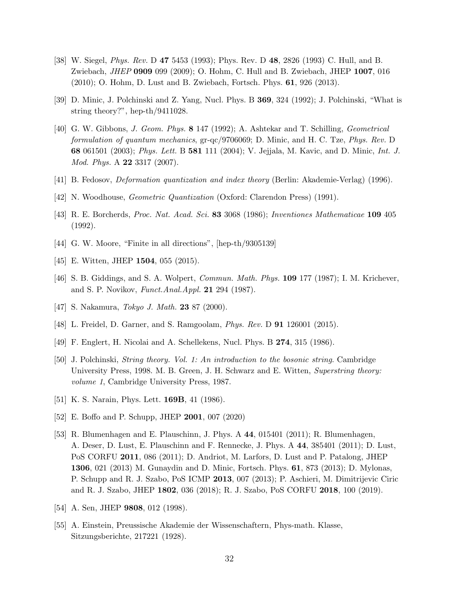- <span id="page-31-0"></span>[38] W. Siegel, *Phys. Rev.* D 47 5453 (1993); Phys. Rev. D 48, 2826 (1993) C. Hull, and B. Zwiebach, *JHEP* 0909 099 (2009); O. Hohm, C. Hull and B. Zwiebach, JHEP 1007, 016 (2010); O. Hohm, D. Lust and B. Zwiebach, Fortsch. Phys. 61, 926 (2013).
- <span id="page-31-2"></span><span id="page-31-1"></span>[39] D. Minic, J. Polchinski and Z. Yang, Nucl. Phys. B 369, 324 (1992); J. Polchinski, "What is string theory?", hep-th/9411028.
- [40] G. W. Gibbons, *J. Geom. Phys.* 8 147 (1992); A. Ashtekar and T. Schilling, *Geometrical formulation of quantum mechanics*, gr-qc/9706069; D. Minic, and H. C. Tze, *Phys. Rev.* D 68 061501 (2003); *Phys. Lett.* B 581 111 (2004); V. Jejjala, M. Kavic, and D. Minic, *Int. J. Mod. Phys.* A 22 3317 (2007).
- <span id="page-31-4"></span><span id="page-31-3"></span>[41] B. Fedosov, *Deformation quantization and index theory* (Berlin: Akademie-Verlag) (1996).
- <span id="page-31-5"></span>[42] N. Woodhouse, *Geometric Quantization* (Oxford: Clarendon Press) (1991).
- <span id="page-31-9"></span>[43] R. E. Borcherds, *Proc. Nat. Acad. Sci.* 83 3068 (1986); *Inventiones Mathematicae* 109 405 (1992).
- <span id="page-31-10"></span>[44] G. W. Moore, "Finite in all directions", [hep-th/9305139]
- <span id="page-31-6"></span>[45] E. Witten, JHEP **1504**, 055 (2015).
- <span id="page-31-7"></span>[46] S. B. Giddings, and S. A. Wolpert, *Commun. Math. Phys.* 109 177 (1987); I. M. Krichever, and S. P. Novikov, *Funct.Anal.Appl.* 21 294 (1987).
- <span id="page-31-8"></span>[47] S. Nakamura, *Tokyo J. Math.* 23 87 (2000).
- <span id="page-31-11"></span>[48] L. Freidel, D. Garner, and S. Ramgoolam, *Phys. Rev.* D 91 126001 (2015).
- <span id="page-31-12"></span>[49] F. Englert, H. Nicolai and A. Schellekens, Nucl. Phys. B 274, 315 (1986).
- [50] J. Polchinski, *String theory. Vol. 1: An introduction to the bosonic string*. Cambridge University Press, 1998. M. B. Green, J. H. Schwarz and E. Witten, *Superstring theory: volume 1*, Cambridge University Press, 1987.
- <span id="page-31-14"></span><span id="page-31-13"></span>[51] K. S. Narain, Phys. Lett. **169B**, 41 (1986).
- <span id="page-31-15"></span>[52] E. Boffo and P. Schupp, JHEP 2001, 007 (2020)
- [53] R. Blumenhagen and E. Plauschinn, J. Phys. A 44, 015401 (2011); R. Blumenhagen, A. Deser, D. Lust, E. Plauschinn and F. Rennecke, J. Phys. A 44, 385401 (2011); D. Lust, PoS CORFU 2011, 086 (2011); D. Andriot, M. Larfors, D. Lust and P. Patalong, JHEP 1306, 021 (2013) M. Gunaydin and D. Minic, Fortsch. Phys. 61, 873 (2013); D. Mylonas, P. Schupp and R. J. Szabo, PoS ICMP 2013, 007 (2013); P. Aschieri, M. Dimitrijevic Ciric and R. J. Szabo, JHEP 1802, 036 (2018); R. J. Szabo, PoS CORFU 2018, 100 (2019).
- <span id="page-31-17"></span><span id="page-31-16"></span>[54] A. Sen, JHEP **9808**, 012 (1998).
- [55] A. Einstein, Preussische Akademie der Wissenschaftern, Phys-math. Klasse, Sitzungsberichte, 217221 (1928).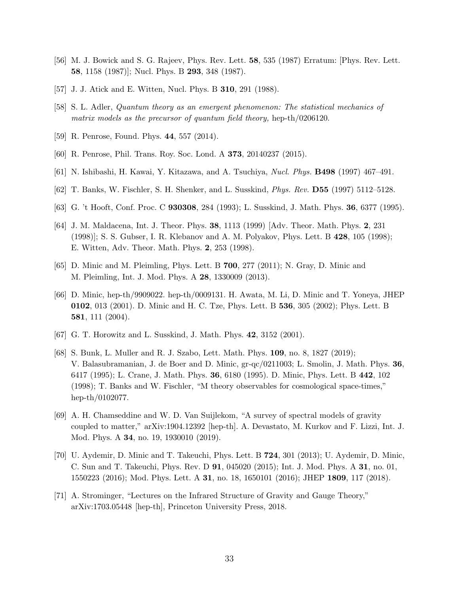- <span id="page-32-1"></span><span id="page-32-0"></span>[56] M. J. Bowick and S. G. Rajeev, Phys. Rev. Lett. 58, 535 (1987) Erratum: [Phys. Rev. Lett. 58, 1158 (1987)]; Nucl. Phys. B 293, 348 (1987).
- <span id="page-32-4"></span>[57] J. J. Atick and E. Witten, Nucl. Phys. B 310, 291 (1988).
- <span id="page-32-5"></span>[58] S. L. Adler, *Quantum theory as an emergent phenomenon: The statistical mechanics of matrix models as the precursor of quantum field theory,* hep-th/0206120.
- <span id="page-32-6"></span>[59] R. Penrose, Found. Phys. 44, 557 (2014).
- <span id="page-32-2"></span>[60] R. Penrose, Phil. Trans. Roy. Soc. Lond. A 373, 20140237 (2015).
- <span id="page-32-3"></span>[61] N. Ishibashi, H. Kawai, Y. Kitazawa, and A. Tsuchiya, *Nucl. Phys.* B498 (1997) 467–491.
- <span id="page-32-7"></span>[62] T. Banks, W. Fischler, S. H. Shenker, and L. Susskind, *Phys. Rev.* D55 (1997) 5112–5128.
- <span id="page-32-8"></span>[63] G. 't Hooft, Conf. Proc. C 930308, 284 (1993); L. Susskind, J. Math. Phys. 36, 6377 (1995).
- [64] J. M. Maldacena, Int. J. Theor. Phys. 38, 1113 (1999) [Adv. Theor. Math. Phys. 2, 231 (1998)]; S. S. Gubser, I. R. Klebanov and A. M. Polyakov, Phys. Lett. B 428, 105 (1998); E. Witten, Adv. Theor. Math. Phys. 2, 253 (1998).
- <span id="page-32-10"></span><span id="page-32-9"></span>[65] D. Minic and M. Pleimling, Phys. Lett. B 700, 277 (2011); N. Gray, D. Minic and M. Pleimling, Int. J. Mod. Phys. A 28, 1330009 (2013).
- [66] D. Minic, hep-th/9909022. hep-th/0009131. H. Awata, M. Li, D. Minic and T. Yoneya, JHEP 0102, 013 (2001). D. Minic and H. C. Tze, Phys. Lett. B 536, 305 (2002); Phys. Lett. B 581, 111 (2004).
- <span id="page-32-12"></span><span id="page-32-11"></span>[67] G. T. Horowitz and L. Susskind, J. Math. Phys. 42, 3152 (2001).
- [68] S. Bunk, L. Muller and R. J. Szabo, Lett. Math. Phys. 109, no. 8, 1827 (2019); V. Balasubramanian, J. de Boer and D. Minic, gr-qc/0211003; L. Smolin, J. Math. Phys. 36, 6417 (1995); L. Crane, J. Math. Phys. 36, 6180 (1995). D. Minic, Phys. Lett. B 442, 102 (1998); T. Banks and W. Fischler, "M theory observables for cosmological space-times," hep-th/0102077.
- <span id="page-32-13"></span>[69] A. H. Chamseddine and W. D. Van Suijlekom, "A survey of spectral models of gravity coupled to matter," arXiv:1904.12392 [hep-th]. A. Devastato, M. Kurkov and F. Lizzi, Int. J. Mod. Phys. A 34, no. 19, 1930010 (2019).
- <span id="page-32-14"></span>[70] U. Aydemir, D. Minic and T. Takeuchi, Phys. Lett. B 724, 301 (2013); U. Aydemir, D. Minic, C. Sun and T. Takeuchi, Phys. Rev. D 91, 045020 (2015); Int. J. Mod. Phys. A 31, no. 01, 1550223 (2016); Mod. Phys. Lett. A 31, no. 18, 1650101 (2016); JHEP 1809, 117 (2018).
- <span id="page-32-15"></span>[71] A. Strominger, "Lectures on the Infrared Structure of Gravity and Gauge Theory," arXiv:1703.05448 [hep-th], Princeton University Press, 2018.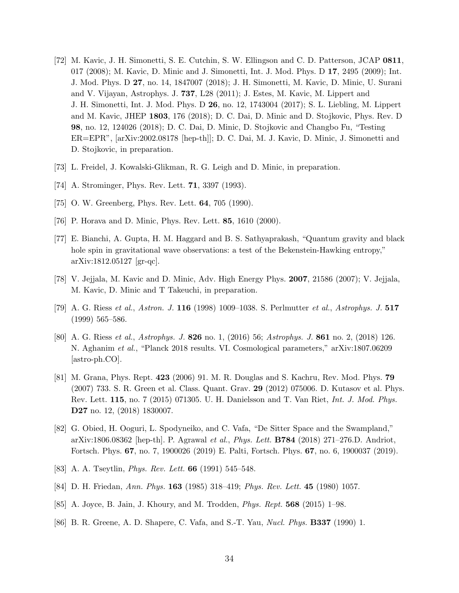- <span id="page-33-0"></span>[72] M. Kavic, J. H. Simonetti, S. E. Cutchin, S. W. Ellingson and C. D. Patterson, JCAP 0811, 017 (2008); M. Kavic, D. Minic and J. Simonetti, Int. J. Mod. Phys. D 17, 2495 (2009); Int. J. Mod. Phys. D 27, no. 14, 1847007 (2018); J. H. Simonetti, M. Kavic, D. Minic, U. Surani and V. Vijayan, Astrophys. J. 737, L28 (2011); J. Estes, M. Kavic, M. Lippert and J. H. Simonetti, Int. J. Mod. Phys. D 26, no. 12, 1743004 (2017); S. L. Liebling, M. Lippert and M. Kavic, JHEP 1803, 176 (2018); D. C. Dai, D. Minic and D. Stojkovic, Phys. Rev. D 98, no. 12, 124026 (2018); D. C. Dai, D. Minic, D. Stojkovic and Changbo Fu, "Testing ER=EPR", [arXiv:2002.08178 [hep-th]]; D. C. Dai, M. J. Kavic, D. Minic, J. Simonetti and D. Stojkovic, in preparation.
- <span id="page-33-2"></span><span id="page-33-1"></span>[73] L. Freidel, J. Kowalski-Glikman, R. G. Leigh and D. Minic, in preparation.
- <span id="page-33-3"></span>[74] A. Strominger, Phys. Rev. Lett. 71, 3397 (1993).
- <span id="page-33-4"></span>[75] O. W. Greenberg, Phys. Rev. Lett. **64**, 705 (1990).
- <span id="page-33-5"></span>[76] P. Horava and D. Minic, Phys. Rev. Lett. 85, 1610 (2000).
- [77] E. Bianchi, A. Gupta, H. M. Haggard and B. S. Sathyaprakash, "Quantum gravity and black hole spin in gravitational wave observations: a test of the Bekenstein-Hawking entropy," arXiv:1812.05127 [gr-qc].
- <span id="page-33-7"></span><span id="page-33-6"></span>[78] V. Jejjala, M. Kavic and D. Minic, Adv. High Energy Phys. 2007, 21586 (2007); V. Jejjala, M. Kavic, D. Minic and T Takeuchi, in preparation.
- <span id="page-33-8"></span>[79] A. G. Riess *et al.*, *Astron. J.* 116 (1998) 1009–1038. S. Perlmutter *et al.*, *Astrophys. J.* 517 (1999) 565–586.
- [80] A. G. Riess *et al.*, *Astrophys. J.* 826 no. 1, (2016) 56; *Astrophys. J.* 861 no. 2, (2018) 126. N. Aghanim *et al.*, "Planck 2018 results. VI. Cosmological parameters," arXiv:1807.06209 [astro-ph.CO].
- <span id="page-33-9"></span>[81] M. Grana, Phys. Rept. 423 (2006) 91. M. R. Douglas and S. Kachru, Rev. Mod. Phys. 79 (2007) 733. S. R. Green et al. Class. Quant. Grav. 29 (2012) 075006. D. Kutasov et al. Phys. Rev. Lett. 115, no. 7 (2015) 071305. U. H. Danielsson and T. Van Riet, *Int. J. Mod. Phys.* D27 no. 12, (2018) 1830007.
- <span id="page-33-10"></span>[82] G. Obied, H. Ooguri, L. Spodyneiko, and C. Vafa, "De Sitter Space and the Swampland," arXiv:1806.08362 [hep-th]. P. Agrawal *et al.*, *Phys. Lett.* B784 (2018) 271–276.D. Andriot, Fortsch. Phys. 67, no. 7, 1900026 (2019) E. Palti, Fortsch. Phys. 67, no. 6, 1900037 (2019).
- <span id="page-33-12"></span><span id="page-33-11"></span>[83] A. A. Tseytlin, *Phys. Rev. Lett.* 66 (1991) 545–548.
- <span id="page-33-13"></span>[84] D. H. Friedan, *Ann. Phys.* 163 (1985) 318–419; *Phys. Rev. Lett.* 45 (1980) 1057.
- <span id="page-33-14"></span>[85] A. Joyce, B. Jain, J. Khoury, and M. Trodden, *Phys. Rept.* 568 (2015) 1–98.
- [86] B. R. Greene, A. D. Shapere, C. Vafa, and S.-T. Yau, *Nucl. Phys.* B337 (1990) 1.